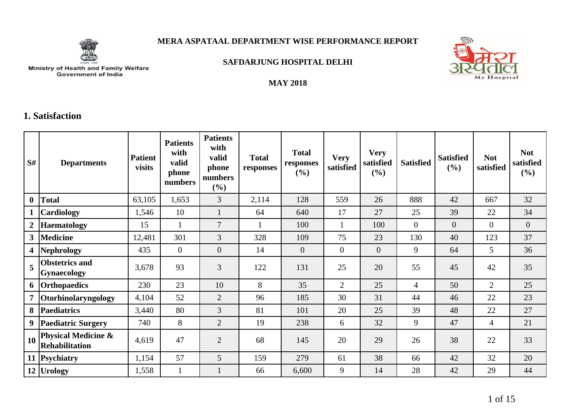

# **MERA ASPATAAL DEPARTMENT WISE PERFORMANCE REPORT**



Ministry of Health and Family Welfare<br>Government of India

### **SAFDARJUNG HOSPITAL DELHI**

#### **MAY 2018**

# **1. Satisfaction**

| S#             | <b>Departments</b>                                      | <b>Patient</b><br>visits | <b>Patients</b><br>with<br>valid<br>phone<br>numbers | <b>Patients</b><br>with<br>valid<br>phone<br>numbers<br>(%) | <b>Total</b><br>responses | <b>Total</b><br>responses<br>(%) | <b>Very</b><br>satisfied | <b>Very</b><br>satisfied<br>(%) | <b>Satisfied</b> | <b>Satisfied</b><br>$(\%)$ | <b>Not</b><br>satisfied | <b>Not</b><br>satisfied<br>(%) |
|----------------|---------------------------------------------------------|--------------------------|------------------------------------------------------|-------------------------------------------------------------|---------------------------|----------------------------------|--------------------------|---------------------------------|------------------|----------------------------|-------------------------|--------------------------------|
| $\bf{0}$       | <b>Total</b>                                            | 63,105                   | 1,653                                                | 3                                                           | 2,114                     | 128                              | 559                      | 26                              | 888              | 42                         | 667                     | 32                             |
|                | Cardiology                                              | 1,546                    | 10                                                   |                                                             | 64                        | 640                              | 17                       | 27                              | 25               | 39                         | 22                      | 34                             |
| $\overline{2}$ | <b>Haematology</b>                                      | 15                       |                                                      | 7                                                           |                           | 100                              | 1                        | 100                             | $\overline{0}$   | $\overline{0}$             | $\Omega$                | $\overline{0}$                 |
| 3 <sup>7</sup> | <b>Medicine</b>                                         | 12,481                   | 301                                                  | 3                                                           | 328                       | 109                              | 75                       | 23                              | 130              | 40                         | 123                     | 37                             |
| 4 <sup>1</sup> | Nephrology                                              | 435                      | $\overline{0}$                                       | $\overline{0}$                                              | 14                        | $\overline{0}$                   | $\theta$                 | $\overline{0}$                  | 9                | 64                         | 5 <sup>5</sup>          | 36                             |
| 5              | <b>Obstetrics and</b><br><b>Gynaecology</b>             | 3,678                    | 93                                                   | 3                                                           | 122                       | 131                              | 25                       | 20                              | 55               | 45                         | 42                      | 35                             |
| 6              | <b>Orthopaedics</b>                                     | 230                      | 23                                                   | 10                                                          | 8                         | 35                               | 2                        | 25                              | 4                | 50                         | $\overline{2}$          | 25                             |
| $\overline{7}$ | <b>Otorhinolaryngology</b>                              | 4,104                    | 52                                                   | $\overline{2}$                                              | 96                        | 185                              | 30                       | 31                              | 44               | 46                         | 22                      | 23                             |
| 8              | <b>Paediatrics</b>                                      | 3,440                    | 80                                                   | 3                                                           | 81                        | 101                              | 20                       | 25                              | 39               | 48                         | 22                      | 27                             |
| 9 <sup>1</sup> | <b>Paediatric Surgery</b>                               | 740                      | 8                                                    | $\overline{2}$                                              | 19                        | 238                              | 6                        | 32                              | 9                | 47                         | $\overline{4}$          | 21                             |
| 10             | <b>Physical Medicine &amp;</b><br><b>Rehabilitation</b> | 4,619                    | 47                                                   | $\overline{2}$                                              | 68                        | 145                              | 20                       | 29                              | 26               | 38                         | 22                      | 33                             |
|                | 11 Psychiatry                                           | 1,154                    | 57                                                   | 5                                                           | 159                       | 279                              | 61                       | 38                              | 66               | 42                         | 32                      | 20                             |
|                | 12 Urology                                              | 1,558                    |                                                      |                                                             | 66                        | 6,600                            | 9                        | 14                              | 28               | 42                         | 29                      | 44                             |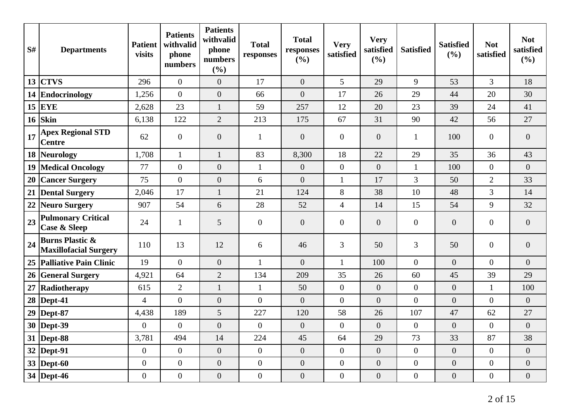| S#     | <b>Departments</b>                                         | <b>Patient</b><br>visits | <b>Patients</b><br>withvalid<br>phone<br>numbers | <b>Patients</b><br>withvalid<br>phone<br>numbers<br>(%) | <b>Total</b><br>responses | <b>Total</b><br>responses<br>(%) | <b>Very</b><br>satisfied | <b>Very</b><br>satisfied<br>(%) | <b>Satisfied</b> | <b>Satisfied</b><br>(%) | <b>Not</b><br>satisfied | <b>Not</b><br>satisfied<br>(%) |
|--------|------------------------------------------------------------|--------------------------|--------------------------------------------------|---------------------------------------------------------|---------------------------|----------------------------------|--------------------------|---------------------------------|------------------|-------------------------|-------------------------|--------------------------------|
| 13     | <b>CTVS</b>                                                | 296                      | $\mathbf{0}$                                     | $\overline{0}$                                          | 17                        | $\overline{0}$                   | 5                        | 29                              | 9                | 53                      | $\overline{3}$          | 18                             |
|        | 14 Endocrinology                                           | 1,256                    | $\overline{0}$                                   | $\overline{0}$                                          | 66                        | $\theta$                         | 17                       | 26                              | 29               | 44                      | 20                      | 30                             |
|        | $15$ EYE                                                   | 2,628                    | 23                                               | $\mathbf{1}$                                            | 59                        | 257                              | 12                       | 20                              | 23               | 39                      | 24                      | 41                             |
| 16     | Skin                                                       | 6,138                    | 122                                              | $\overline{2}$                                          | 213                       | 175                              | 67                       | 31                              | 90               | 42                      | 56                      | 27                             |
| 17     | <b>Apex Regional STD</b><br><b>Centre</b>                  | 62                       | $\overline{0}$                                   | $\boldsymbol{0}$                                        | $\mathbf{1}$              | $\overline{0}$                   | $\boldsymbol{0}$         | $\boldsymbol{0}$                | $\mathbf{1}$     | 100                     | $\overline{0}$          | $\overline{0}$                 |
|        | 18 Neurology                                               | 1,708                    | $\mathbf{1}$                                     | $\mathbf{1}$                                            | 83                        | 8,300                            | 18                       | 22                              | 29               | 35                      | 36                      | 43                             |
| 19     | <b>Medical Oncology</b>                                    | 77                       | $\overline{0}$                                   | $\overline{0}$                                          | $\mathbf{1}$              | $\overline{0}$                   | $\overline{0}$           | $\overline{0}$                  | $\mathbf{1}$     | 100                     | $\overline{0}$          | $\overline{0}$                 |
| 20     | <b>Cancer Surgery</b>                                      | 75                       | $\overline{0}$                                   | $\boldsymbol{0}$                                        | 6                         | $\overline{0}$                   | $\mathbf{1}$             | 17                              | 3                | 50                      | $\overline{2}$          | 33                             |
| 21     | <b>Dental Surgery</b>                                      | 2,046                    | 17                                               | $\mathbf{1}$                                            | 21                        | 124                              | $8\,$                    | 38                              | 10               | 48                      | $\overline{3}$          | 14                             |
| 22     | <b>Neuro Surgery</b>                                       | 907                      | 54                                               | 6                                                       | 28                        | 52                               | $\overline{4}$           | 14                              | 15               | 54                      | 9                       | 32                             |
| 23     | <b>Pulmonary Critical</b><br><b>Case &amp; Sleep</b>       | 24                       | $\mathbf{1}$                                     | 5                                                       | $\mathbf{0}$              | $\overline{0}$                   | $\boldsymbol{0}$         | $\boldsymbol{0}$                | $\mathbf{0}$     | $\boldsymbol{0}$        | $\overline{0}$          | $\overline{0}$                 |
| 24     | <b>Burns Plastic &amp;</b><br><b>Maxillofacial Surgery</b> | 110                      | 13                                               | 12                                                      | 6                         | 46                               | 3                        | 50                              | 3                | 50                      | $\overline{0}$          | $\overline{0}$                 |
|        | 25 Palliative Pain Clinic                                  | 19                       | $\overline{0}$                                   | $\overline{0}$                                          | $\mathbf{1}$              | $\overline{0}$                   | $\mathbf{1}$             | 100                             | $\overline{0}$   | $\overline{0}$          | $\overline{0}$          | $\overline{0}$                 |
|        | 26 General Surgery                                         | 4,921                    | 64                                               | $\overline{2}$                                          | 134                       | 209                              | 35                       | 26                              | 60               | 45                      | 39                      | 29                             |
| $27\,$ | Radiotherapy                                               | 615                      | $\overline{2}$                                   | $\mathbf{1}$                                            | $\mathbf{1}$              | 50                               | $\overline{0}$           | $\boldsymbol{0}$                | $\overline{0}$   | $\overline{0}$          | $\mathbf{1}$            | 100                            |
| 28     | Dept-41                                                    | $\overline{4}$           | $\overline{0}$                                   | $\overline{0}$                                          | $\overline{0}$            | $\overline{0}$                   | $\boldsymbol{0}$         | $\overline{0}$                  | $\overline{0}$   | $\overline{0}$          | $\overline{0}$          | $\overline{0}$                 |
| 29     | Dept-87                                                    | 4,438                    | 189                                              | 5                                                       | 227                       | 120                              | 58                       | 26                              | 107              | 47                      | 62                      | 27                             |
|        | 30   Dept-39                                               | $\overline{0}$           | $\theta$                                         | $\overline{0}$                                          | $\theta$                  | $\theta$                         | $\overline{0}$           | $\overline{0}$                  | $\overline{0}$   | $\overline{0}$          | $\Omega$                | $\overline{0}$                 |
|        | 31  Dept-88                                                | 3,781                    | 494                                              | 14                                                      | 224                       | 45                               | 64                       | 29                              | 73               | 33                      | 87                      | 38                             |
|        | $32$ Dept-91                                               | $\overline{0}$           | $\overline{0}$                                   | $\overline{0}$                                          | $\overline{0}$            | $\overline{0}$                   | $\overline{0}$           | $\overline{0}$                  | $\overline{0}$   | $\overline{0}$          | $\overline{0}$          | $\overline{0}$                 |
|        | $33$ Dept-60                                               | $\overline{0}$           | $\overline{0}$                                   | $\boldsymbol{0}$                                        | $\overline{0}$            | $\overline{0}$                   | $\boldsymbol{0}$         | $\overline{0}$                  | $\overline{0}$   | $\boldsymbol{0}$        | $\overline{0}$          | $\overline{0}$                 |
|        | 34 Dept-46                                                 | $\overline{0}$           | $\boldsymbol{0}$                                 | $\boldsymbol{0}$                                        | $\boldsymbol{0}$          | $\overline{0}$                   | $\overline{0}$           | $\overline{0}$                  | $\overline{0}$   | $\overline{0}$          | $\overline{0}$          | $\overline{0}$                 |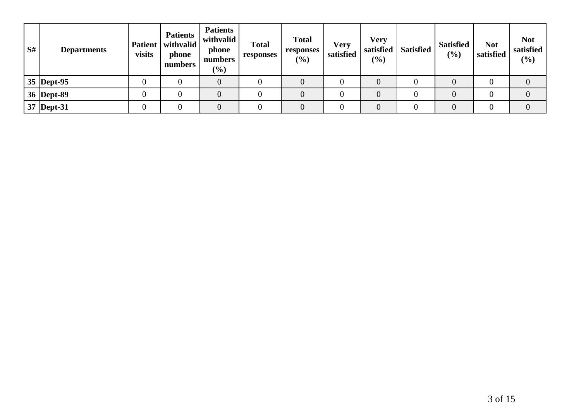| S# | <b>Departments</b> | visits | <b>Patients</b><br>Patient   withvalid<br>phone<br>numbers | <b>Patients</b><br>withvalid<br>phone<br>numbers<br>$(\%)$ | <b>Total</b><br>responses | <b>Total</b><br>responses<br>(%) | <b>Very</b><br>satisfied | Very<br>satisfied<br>(%) | <b>Satisfied</b> | <b>Satisfied</b><br>(9/0) | <b>Not</b><br>satisfied | <b>Not</b><br>satisfied<br>(%) |
|----|--------------------|--------|------------------------------------------------------------|------------------------------------------------------------|---------------------------|----------------------------------|--------------------------|--------------------------|------------------|---------------------------|-------------------------|--------------------------------|
|    | $35$ Dept-95       |        |                                                            |                                                            |                           |                                  |                          |                          |                  | 0                         |                         | 0                              |
|    | 36 Dept-89         |        |                                                            |                                                            |                           |                                  |                          |                          |                  | 0                         |                         | 0                              |
|    | 37 Dept-31         |        |                                                            |                                                            |                           |                                  |                          |                          |                  | 0                         |                         |                                |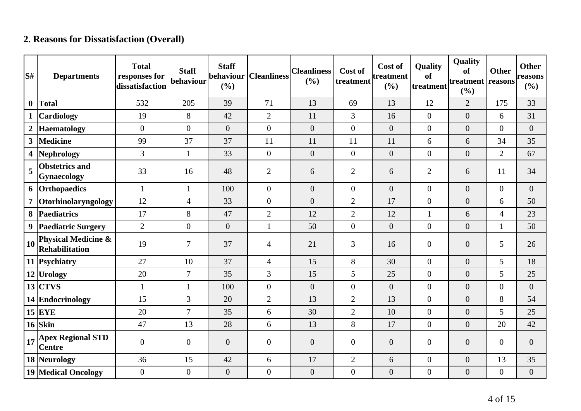# **2. Reasons for Dissatisfaction (Overall)**

| S#             | <b>Departments</b>                                      | <b>Total</b><br>responses for<br>dissatisfaction | <b>Staff</b><br>behaviour | <b>Staff</b><br>behaviour<br>(%) | <b>Cleanliness</b> | <b>Cleanliness</b><br>(%) | Cost of<br>treatment | Cost of<br>treatment<br>(%) | <b>Quality</b><br><b>of</b><br>treatment | Quality<br>of<br>treatment reasons<br>(%) | <b>Other</b>     | <b>Other</b><br>reasons<br>(%) |
|----------------|---------------------------------------------------------|--------------------------------------------------|---------------------------|----------------------------------|--------------------|---------------------------|----------------------|-----------------------------|------------------------------------------|-------------------------------------------|------------------|--------------------------------|
| $\mathbf{0}$   | <b>Total</b>                                            | 532                                              | 205                       | 39                               | 71                 | 13                        | 69                   | 13                          | 12                                       | $\overline{2}$                            | 175              | 33                             |
| $\mathbf{1}$   | <b>Cardiology</b>                                       | 19                                               | 8                         | 42                               | $\overline{2}$     | 11                        | $\overline{3}$       | 16                          | $\overline{0}$                           | $\overline{0}$                            | 6                | 31                             |
| $\overline{2}$ | <b>Haematology</b>                                      | $\Omega$                                         | $\overline{0}$            | $\overline{0}$                   | $\overline{0}$     | $\overline{0}$            | $\overline{0}$       | $\overline{0}$              | $\overline{0}$                           | $\overline{0}$                            | $\overline{0}$   | $\overline{0}$                 |
| 3 <sup>1</sup> | <b>Medicine</b>                                         | 99                                               | 37                        | 37                               | 11                 | 11                        | 11                   | 11                          | 6                                        | 6                                         | 34               | 35                             |
| 4              | <b>Nephrology</b>                                       | 3                                                | $\mathbf{1}$              | 33                               | $\overline{0}$     | $\overline{0}$            | $\overline{0}$       | $\boldsymbol{0}$            | $\overline{0}$                           | $\overline{0}$                            | $\overline{2}$   | 67                             |
| 5              | <b>Obstetrics and</b><br><b>Gynaecology</b>             | 33                                               | 16                        | 48                               | $\overline{2}$     | 6                         | $\overline{2}$       | 6                           | $\overline{2}$                           | 6                                         | 11               | 34                             |
|                | 6 Orthopaedics                                          | $\mathbf{1}$                                     | $\mathbf{1}$              | 100                              | $\overline{0}$     | $\overline{0}$            | $\overline{0}$       | $\overline{0}$              | $\overline{0}$                           | $\overline{0}$                            | $\overline{0}$   | $\overline{0}$                 |
| 7 <sup>1</sup> | Otorhinolaryngology                                     | 12                                               | $\overline{4}$            | 33                               | $\overline{0}$     | $\overline{0}$            | $\overline{2}$       | 17                          | $\overline{0}$                           | $\overline{0}$                            | 6                | 50                             |
| 8              | <b>Paediatrics</b>                                      | 17                                               | 8                         | 47                               | $\overline{2}$     | 12                        | $\overline{2}$       | 12                          | $\mathbf{1}$                             | 6                                         | $\overline{4}$   | 23                             |
|                | 9 Paediatric Surgery                                    | $\overline{2}$                                   | $\overline{0}$            | $\overline{0}$                   | $\mathbf{1}$       | 50                        | $\overline{0}$       | $\overline{0}$              | $\overline{0}$                           | $\overline{0}$                            | $\mathbf{1}$     | 50                             |
| 10             | <b>Physical Medicine &amp;</b><br><b>Rehabilitation</b> | 19                                               | 7                         | 37                               | 4                  | 21                        | 3                    | 16                          | $\mathbf{0}$                             | $\boldsymbol{0}$                          | 5                | 26                             |
|                | 11 Psychiatry                                           | 27                                               | 10                        | 37                               | $\overline{4}$     | 15                        | 8                    | 30                          | $\overline{0}$                           | $\overline{0}$                            | 5                | 18                             |
|                | 12 Urology                                              | 20                                               | $\overline{7}$            | 35                               | $\overline{3}$     | 15                        | 5 <sup>5</sup>       | 25                          | $\overline{0}$                           | $\overline{0}$                            | 5                | 25                             |
|                | $13$ CTVS                                               | $\mathbf{1}$                                     | $\mathbf{1}$              | 100                              | $\overline{0}$     | $\overline{0}$            | $\overline{0}$       | $\overline{0}$              | $\overline{0}$                           | $\overline{0}$                            | $\overline{0}$   | $\boldsymbol{0}$               |
|                | 14 Endocrinology                                        | 15                                               | 3                         | 20                               | $\overline{2}$     | 13                        | $\overline{2}$       | 13                          | $\overline{0}$                           | $\overline{0}$                            | 8                | 54                             |
|                | $15$ EYE                                                | 20                                               | $\overline{7}$            | 35                               | 6                  | 30                        | $\overline{2}$       | 10                          | $\overline{0}$                           | $\boldsymbol{0}$                          | 5                | 25                             |
|                | $16$ Skin                                               | 47                                               | 13                        | 28                               | 6                  | 13                        | 8                    | 17                          | $\overline{0}$                           | $\overline{0}$                            | 20               | 42                             |
| 17             | <b>Apex Regional STD</b><br><b>Centre</b>               | $\overline{0}$                                   | $\overline{0}$            | $\overline{0}$                   | $\overline{0}$     | $\overline{0}$            | $\overline{0}$       | $\overline{0}$              | $\overline{0}$                           | $\overline{0}$                            | $\overline{0}$   | $\theta$                       |
|                | 18 Neurology                                            | 36                                               | 15                        | 42                               | 6                  | 17                        | $\overline{2}$       | 6                           | $\overline{0}$                           | $\overline{0}$                            | 13               | 35                             |
|                | <b>19 Medical Oncology</b>                              | $\overline{0}$                                   | $\boldsymbol{0}$          | $\boldsymbol{0}$                 | $\overline{0}$     | $\boldsymbol{0}$          | $\overline{0}$       | $\boldsymbol{0}$            | $\boldsymbol{0}$                         | $\boldsymbol{0}$                          | $\boldsymbol{0}$ | $\boldsymbol{0}$               |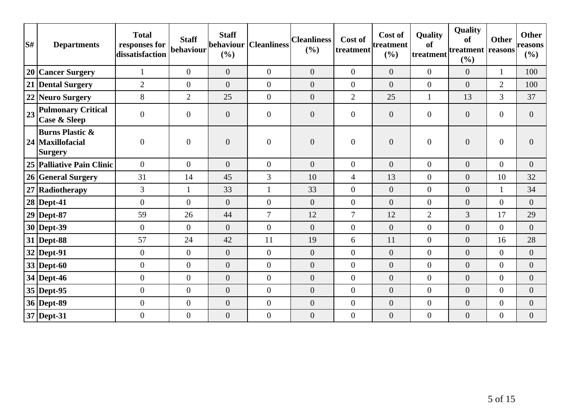| S# | <b>Departments</b>                                                 | <b>Total</b><br>responses for<br>dissatisfaction | <b>Staff</b><br>behaviour | <b>Staff</b><br>behaviour<br>(%) | <b>Cleanliness</b> | <b>Cleanliness</b><br>(9/0) | Cost of<br>treatment | Cost of<br>treatment<br>(%) | <b>Quality</b><br>of<br>treatment | <b>Quality</b><br><b>of</b><br>treatment reasons<br>$(\%)$ | <b>Other</b>     | <b>Other</b><br>reasons<br>(%) |
|----|--------------------------------------------------------------------|--------------------------------------------------|---------------------------|----------------------------------|--------------------|-----------------------------|----------------------|-----------------------------|-----------------------------------|------------------------------------------------------------|------------------|--------------------------------|
|    | 20 Cancer Surgery                                                  | $\mathbf{1}$                                     | $\overline{0}$            | $\overline{0}$                   | $\overline{0}$     | $\theta$                    | $\overline{0}$       | $\overline{0}$              | $\overline{0}$                    | $\overline{0}$                                             | $\mathbf{1}$     | 100                            |
|    | 21 Dental Surgery                                                  | $\overline{2}$                                   | $\overline{0}$            | $\overline{0}$                   | $\overline{0}$     | $\theta$                    | $\overline{0}$       | $\overline{0}$              | $\overline{0}$                    | $\overline{0}$                                             | $\overline{2}$   | 100                            |
|    | 22 Neuro Surgery                                                   | 8                                                | $\overline{2}$            | 25                               | $\overline{0}$     | $\overline{0}$              | $\overline{2}$       | 25                          | $\mathbf{1}$                      | 13                                                         | 3                | 37                             |
| 23 | <b>Pulmonary Critical</b><br><b>Case &amp; Sleep</b>               | $\overline{0}$                                   | $\overline{0}$            | $\overline{0}$                   | $\boldsymbol{0}$   | $\theta$                    | $\overline{0}$       | $\theta$                    | $\overline{0}$                    | $\boldsymbol{0}$                                           | $\overline{0}$   | $\overline{0}$                 |
|    | <b>Burns Plastic &amp;</b><br>24   Maxillofacial<br><b>Surgery</b> | $\boldsymbol{0}$                                 | $\mathbf{0}$              | $\overline{0}$                   | $\overline{0}$     | $\overline{0}$              | $\overline{0}$       | $\boldsymbol{0}$            | $\overline{0}$                    | $\boldsymbol{0}$                                           | $\boldsymbol{0}$ | $\overline{0}$                 |
|    | 25 Palliative Pain Clinic                                          | $\overline{0}$                                   | $\theta$                  | $\overline{0}$                   | $\overline{0}$     | $\theta$                    | $\overline{0}$       | $\overline{0}$              | $\overline{0}$                    | $\overline{0}$                                             | $\overline{0}$   | $\overline{0}$                 |
|    | 26 General Surgery                                                 | 31                                               | 14                        | 45                               | 3                  | 10                          | $\overline{4}$       | 13                          | $\overline{0}$                    | $\overline{0}$                                             | 10               | 32                             |
|    | 27 Radiotherapy                                                    | 3                                                | $\mathbf{1}$              | 33                               | 1                  | 33                          | $\overline{0}$       | $\mathbf{0}$                | $\overline{0}$                    | $\boldsymbol{0}$                                           | $\mathbf{1}$     | 34                             |
|    | $28$ Dept-41                                                       | $\overline{0}$                                   | $\overline{0}$            | $\overline{0}$                   | $\overline{0}$     | $\theta$                    | $\overline{0}$       | $\overline{0}$              | $\overline{0}$                    | $\overline{0}$                                             | $\mathbf{0}$     | $\overline{0}$                 |
|    | $29$ Dept-87                                                       | 59                                               | 26                        | 44                               | $\overline{7}$     | 12                          | $\overline{7}$       | 12                          | $\overline{2}$                    | 3                                                          | 17               | 29                             |
|    | $30$ Dept-39                                                       | $\overline{0}$                                   | $\theta$                  | $\overline{0}$                   | $\overline{0}$     | $\theta$                    | $\overline{0}$       | $\theta$                    | $\overline{0}$                    | $\overline{0}$                                             | $\overline{0}$   | $\overline{0}$                 |
|    | $31$ Dept-88                                                       | 57                                               | 24                        | 42                               | 11                 | 19                          | 6                    | 11                          | $\overline{0}$                    | $\overline{0}$                                             | 16               | 28                             |
|    | $32$ Dept-91                                                       | $\boldsymbol{0}$                                 | $\overline{0}$            | $\overline{0}$                   | $\overline{0}$     | $\theta$                    | $\overline{0}$       | $\mathbf{0}$                | $\overline{0}$                    | $\overline{0}$                                             | $\overline{0}$   | $\overline{0}$                 |
|    | $33$ Dept-60                                                       | $\overline{0}$                                   | $\overline{0}$            | $\overline{0}$                   | $\overline{0}$     | $\theta$                    | $\overline{0}$       | $\theta$                    | $\overline{0}$                    | $\overline{0}$                                             | $\mathbf{0}$     | $\overline{0}$                 |
|    | $34$ Dept-46                                                       | $\boldsymbol{0}$                                 | $\overline{0}$            | $\overline{0}$                   | $\overline{0}$     | $\overline{0}$              | $\overline{0}$       | $\overline{0}$              | $\overline{0}$                    | $\overline{0}$                                             | $\overline{0}$   | $\overline{0}$                 |
|    | $35$ Dept-95                                                       | $\boldsymbol{0}$                                 | $\overline{0}$            | $\overline{0}$                   | $\overline{0}$     | $\boldsymbol{0}$            | $\overline{0}$       | $\boldsymbol{0}$            | $\overline{0}$                    | $\boldsymbol{0}$                                           | $\overline{0}$   | $\boldsymbol{0}$               |
|    | 36 Dept-89                                                         | $\boldsymbol{0}$                                 | $\mathbf{0}$              | $\boldsymbol{0}$                 | $\overline{0}$     | $\boldsymbol{0}$            | $\overline{0}$       | $\boldsymbol{0}$            | $\overline{0}$                    | $\boldsymbol{0}$                                           | $\overline{0}$   | $\overline{0}$                 |
|    | 37 Dept-31                                                         | $\overline{0}$                                   | $\overline{0}$            | $\overline{0}$                   | $\overline{0}$     | $\boldsymbol{0}$            | $\overline{0}$       | $\boldsymbol{0}$            | $\overline{0}$                    | $\boldsymbol{0}$                                           | $\boldsymbol{0}$ | $\overline{0}$                 |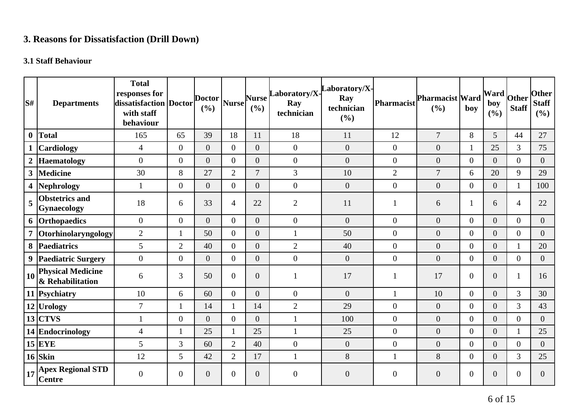# **3. Reasons for Dissatisfaction (Drill Down)**

# **3.1 Staff Behaviour**

| lS#              | <b>Departments</b>                                                          | <b>Total</b><br>responses for<br>dissatisfaction Doctor<br>with staff<br>behaviour |                  | <b>Doctor</b><br>(%) | <b>Nurse</b>   | <b>Nurse</b><br>(%) | Laboratory/X-<br>Ray<br>technician | aboratory/X-<br>Ray<br>technician<br>(%) | Pharmacist       | <b>Pharmacist Ward</b><br>(%) | boy              | <b>Ward</b><br>boy<br>(%) | Other<br><b>Staff</b> | <b>Other</b><br><b>Staff</b><br>(%) |
|------------------|-----------------------------------------------------------------------------|------------------------------------------------------------------------------------|------------------|----------------------|----------------|---------------------|------------------------------------|------------------------------------------|------------------|-------------------------------|------------------|---------------------------|-----------------------|-------------------------------------|
| $\boldsymbol{0}$ | Total                                                                       | 165                                                                                | 65               | 39                   | 18             | 11                  | 18                                 | 11                                       | 12               | $\overline{7}$                | 8                | 5                         | 44                    | 27                                  |
|                  | <b>Cardiology</b>                                                           | $\overline{4}$                                                                     | $\boldsymbol{0}$ | $\overline{0}$       | $\overline{0}$ | $\overline{0}$      | $\overline{0}$                     | $\overline{0}$                           | $\overline{0}$   | $\boldsymbol{0}$              | 1                | 25                        | 3                     | 75                                  |
| $\boldsymbol{2}$ | Haematology                                                                 | $\overline{0}$                                                                     | $\boldsymbol{0}$ | $\overline{0}$       | $\overline{0}$ | $\overline{0}$      | $\boldsymbol{0}$                   | $\overline{0}$                           | $\boldsymbol{0}$ | $\boldsymbol{0}$              | $\overline{0}$   | $\overline{0}$            | $\overline{0}$        | $\overline{0}$                      |
| $\mathbf{3}$     | <b>Medicine</b>                                                             | 30                                                                                 | 8                | 27                   | $\overline{2}$ | $\overline{7}$      | 3                                  | 10                                       | $\mathbf{2}$     | $\overline{7}$                | 6                | 20                        | 9                     | 29                                  |
|                  | 4 Nephrology                                                                | $\mathbf{1}$                                                                       | $\boldsymbol{0}$ | $\overline{0}$       | $\overline{0}$ | $\overline{0}$      | $\overline{0}$                     | $\boldsymbol{0}$                         | $\boldsymbol{0}$ | $\boldsymbol{0}$              | $\boldsymbol{0}$ | $\overline{0}$            | $\mathbf{1}$          | 100                                 |
| 5                | <b>Obstetrics and</b><br>Gynaecology                                        | 18                                                                                 | 6                | 33                   | $\overline{4}$ | 22                  | $\overline{2}$                     | 11                                       | 1                | 6                             | 1                | 6                         | $\overline{4}$        | 22                                  |
|                  | 6 Orthopaedics                                                              | $\mathbf{0}$                                                                       | $\mathbf{0}$     | $\overline{0}$       | $\overline{0}$ | $\overline{0}$      | $\overline{0}$                     | $\overline{0}$                           | $\overline{0}$   | $\overline{0}$                | $\mathbf{0}$     | $\overline{0}$            | $\overline{0}$        | $\overline{0}$                      |
|                  | Otorhinolaryngology                                                         | $\overline{2}$                                                                     |                  | 50                   | $\Omega$       | $\overline{0}$      | $\mathbf{1}$                       | 50                                       | $\overline{0}$   | $\boldsymbol{0}$              | $\overline{0}$   | $\overline{0}$            | $\overline{0}$        | $\overline{0}$                      |
|                  | 8 Paediatrics                                                               | 5                                                                                  | $\overline{2}$   | 40                   | $\Omega$       | $\overline{0}$      | $\mathbf{2}$                       | 40                                       | $\boldsymbol{0}$ | $\boldsymbol{0}$              | $\overline{0}$   | $\overline{0}$            | 1                     | 20                                  |
|                  | 9 Paediatric Surgery                                                        | $\boldsymbol{0}$                                                                   | $\overline{0}$   | $\overline{0}$       | $\overline{0}$ | $\overline{0}$      | $\overline{0}$                     | $\overline{0}$                           | $\overline{0}$   | $\boldsymbol{0}$              | $\overline{0}$   | $\overline{0}$            | $\mathbf{0}$          | $\overline{0}$                      |
| 10               | <b>Physical Medicine</b><br>& Rehabilitation                                | 6                                                                                  | 3                | 50                   | $\overline{0}$ | $\overline{0}$      | $\mathbf{1}$                       | 17                                       | 1                | 17                            | $\overline{0}$   | $\overline{0}$            | $\mathbf{1}$          | 16                                  |
|                  | 11 Psychiatry                                                               | 10                                                                                 | 6                | 60                   | $\Omega$       | $\overline{0}$      | $\boldsymbol{0}$                   | $\overline{0}$                           |                  | 10                            | $\overline{0}$   | $\overline{0}$            | 3                     | 30                                  |
|                  | 12 Urology                                                                  | $\overline{7}$                                                                     | $\mathbf{1}$     | 14                   | 1              | 14                  | $\overline{2}$                     | 29                                       | $\overline{0}$   | $\overline{0}$                | $\overline{0}$   | $\Omega$                  | $\overline{3}$        | 43                                  |
|                  | $13$ CTVS                                                                   | $\mathbf{1}$                                                                       | $\overline{0}$   | $\overline{0}$       | $\Omega$       | $\overline{0}$      | $\mathbf{1}$                       | 100                                      | $\overline{0}$   | $\overline{0}$                | $\overline{0}$   | $\overline{0}$            | $\overline{0}$        | $\overline{0}$                      |
|                  | 14 Endocrinology                                                            | $\overline{4}$                                                                     | $\mathbf{1}$     | 25                   | 1              | 25                  | $\mathbf{1}$                       | 25                                       | $\boldsymbol{0}$ | $\boldsymbol{0}$              | $\overline{0}$   | $\overline{0}$            | $\mathbf{1}$          | 25                                  |
|                  | $15$ EYE                                                                    | 5                                                                                  | 3                | 60                   | $\overline{2}$ | 40                  | $\boldsymbol{0}$                   | $\overline{0}$                           | $\overline{0}$   | $\overline{0}$                | $\overline{0}$   | $\overline{0}$            | $\mathbf{0}$          | $\overline{0}$                      |
|                  | $16$ Skin                                                                   | 12                                                                                 | 5                | 42                   | $\overline{2}$ | 17                  | $\mathbf{1}$                       | 8                                        | $\mathbf{1}$     | 8                             | $\overline{0}$   | $\overline{0}$            | 3                     | 25                                  |
|                  | $\left  \frac{1}{17} \right _0^{\text{Apez}}$ Regional STD<br><b>Centre</b> | $\boldsymbol{0}$                                                                   | $\overline{0}$   | $\overline{0}$       | $\overline{0}$ | $\overline{0}$      | $\theta$                           | $\overline{0}$                           | $\boldsymbol{0}$ | $\boldsymbol{0}$              | $\mathbf{0}$     | $\boldsymbol{0}$          | $\theta$              | $\overline{0}$                      |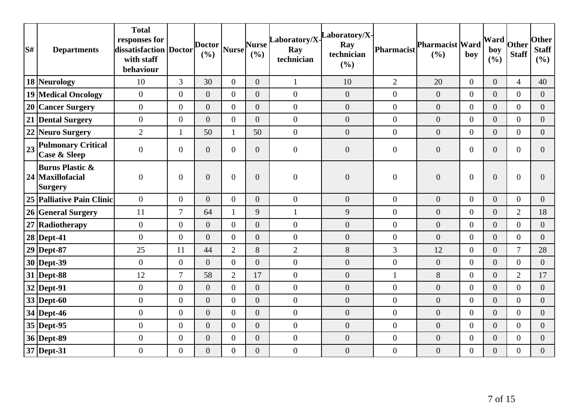| S# | <b>Departments</b>                                        | <b>Total</b><br>responses for<br>dissatisfaction Doctor<br>with staff<br>behaviour |                  | <b>Doctor</b><br>(9/0) | <b>Nurse</b>   | <b>Nurse</b><br>(%) | Laboratory/X-<br>Ray<br>technician | Laboratory/X-<br>Ray<br>technician<br>(%) | <b>Pharmacist</b> | Pharmacist Ward<br>(%) | boy            | $\sqrt{\text{Ward}}$ Other<br>boy<br>(%) | <b>Staff</b>     | <b>Other</b><br><b>Staff</b><br>(%) |
|----|-----------------------------------------------------------|------------------------------------------------------------------------------------|------------------|------------------------|----------------|---------------------|------------------------------------|-------------------------------------------|-------------------|------------------------|----------------|------------------------------------------|------------------|-------------------------------------|
|    | 18 Neurology                                              | 10                                                                                 | 3                | 30                     | $\overline{0}$ | $\overline{0}$      | $\mathbf{1}$                       | 10                                        | $\overline{2}$    | 20                     | $\overline{0}$ | $\overline{0}$                           | $\overline{4}$   | 40                                  |
|    | <b>19 Medical Oncology</b>                                | $\boldsymbol{0}$                                                                   | $\overline{0}$   | $\overline{0}$         | $\theta$       | $\overline{0}$      | $\boldsymbol{0}$                   | $\boldsymbol{0}$                          | $\overline{0}$    | $\boldsymbol{0}$       | $\overline{0}$ | $\overline{0}$                           | $\overline{0}$   | $\overline{0}$                      |
|    | 20 Cancer Surgery                                         | $\overline{0}$                                                                     | $\overline{0}$   | $\overline{0}$         | $\Omega$       | $\overline{0}$      | $\overline{0}$                     | $\overline{0}$                            | $\overline{0}$    | $\overline{0}$         | $\overline{0}$ | $\overline{0}$                           | $\overline{0}$   | $\overline{0}$                      |
|    | 21 Dental Surgery                                         | $\boldsymbol{0}$                                                                   | $\overline{0}$   | $\overline{0}$         | $\overline{0}$ | $\overline{0}$      | $\boldsymbol{0}$                   | $\boldsymbol{0}$                          | $\overline{0}$    | $\boldsymbol{0}$       | $\overline{0}$ | $\overline{0}$                           | $\overline{0}$   | $\overline{0}$                      |
|    | 22 Neuro Surgery                                          | $\overline{2}$                                                                     | 1                | 50                     | $\mathbf{1}$   | 50                  | $\boldsymbol{0}$                   | $\overline{0}$                            | $\overline{0}$    | $\overline{0}$         | $\overline{0}$ | $\overline{0}$                           | $\overline{0}$   | $\overline{0}$                      |
| 23 | <b>Pulmonary Critical</b><br><b>Case &amp; Sleep</b>      | $\overline{0}$                                                                     | $\overline{0}$   | $\overline{0}$         | $\overline{0}$ | $\overline{0}$      | $\boldsymbol{0}$                   | $\overline{0}$                            | $\overline{0}$    | $\overline{0}$         | $\overline{0}$ | $\overline{0}$                           | $\overline{0}$   | $\Omega$                            |
|    | <b>Burns Plastic &amp;</b><br>24 Maxillofacial<br>Surgery | $\boldsymbol{0}$                                                                   | $\boldsymbol{0}$ | $\overline{0}$         | $\overline{0}$ | $\overline{0}$      | $\boldsymbol{0}$                   | $\overline{0}$                            | $\overline{0}$    | $\overline{0}$         | $\overline{0}$ | $\overline{0}$                           | $\boldsymbol{0}$ | $\Omega$                            |
|    | 25 Palliative Pain Clinic                                 | $\overline{0}$                                                                     | $\overline{0}$   | $\overline{0}$         | $\theta$       | $\overline{0}$      | $\mathbf{0}$                       | $\overline{0}$                            | $\overline{0}$    | $\overline{0}$         | $\overline{0}$ | $\overline{0}$                           | $\overline{0}$   | $\overline{0}$                      |
|    | 26 General Surgery                                        | 11                                                                                 | 7                | 64                     | $\mathbf{1}$   | 9                   | $\mathbf{1}$                       | 9                                         | $\overline{0}$    | $\boldsymbol{0}$       | $\overline{0}$ | $\overline{0}$                           | $\overline{2}$   | 18                                  |
|    | 27 Radiotherapy                                           | $\boldsymbol{0}$                                                                   | $\boldsymbol{0}$ | $\boldsymbol{0}$       | $\overline{0}$ | $\overline{0}$      | $\boldsymbol{0}$                   | $\boldsymbol{0}$                          | $\boldsymbol{0}$  | $\boldsymbol{0}$       | $\overline{0}$ | $\overline{0}$                           | $\overline{0}$   | $\Omega$                            |
|    | 28 Dept-41                                                | $\overline{0}$                                                                     | $\overline{0}$   | $\overline{0}$         | $\overline{0}$ | $\overline{0}$      | $\boldsymbol{0}$                   | $\overline{0}$                            | $\overline{0}$    | $\overline{0}$         | $\overline{0}$ | $\overline{0}$                           | $\overline{0}$   | $\overline{0}$                      |
|    | 29 Dept-87                                                | 25                                                                                 | 11               | 44                     | $\overline{2}$ | 8                   | $\overline{2}$                     | 8                                         | 3                 | 12                     | $\overline{0}$ | $\overline{0}$                           | $\overline{7}$   | 28                                  |
|    | 30 Dept-39                                                | $\overline{0}$                                                                     | $\overline{0}$   | $\overline{0}$         | $\overline{0}$ | $\overline{0}$      | $\boldsymbol{0}$                   | $\overline{0}$                            | $\overline{0}$    | $\overline{0}$         | $\overline{0}$ | $\overline{0}$                           | $\overline{0}$   | $\overline{0}$                      |
|    | 31 Dept-88                                                | 12                                                                                 | $\overline{7}$   | 58                     | $\overline{2}$ | 17                  | $\boldsymbol{0}$                   | $\boldsymbol{0}$                          | $\mathbf{1}$      | $8\,$                  | $\overline{0}$ | $\overline{0}$                           | $\overline{2}$   | 17                                  |
|    | 32 Dept-91                                                | $\boldsymbol{0}$                                                                   | $\overline{0}$   | $\overline{0}$         | $\theta$       | $\Omega$            | $\boldsymbol{0}$                   | $\overline{0}$                            | $\overline{0}$    | $\overline{0}$         | $\overline{0}$ | $\overline{0}$                           | $\overline{0}$   | $\Omega$                            |
|    | $33$ Dept-60                                              | $\boldsymbol{0}$                                                                   | $\overline{0}$   | $\overline{0}$         | $\overline{0}$ | $\overline{0}$      | $\boldsymbol{0}$                   | $\boldsymbol{0}$                          | $\overline{0}$    | $\boldsymbol{0}$       | $\overline{0}$ | $\overline{0}$                           | $\overline{0}$   | $\overline{0}$                      |
|    | 34 Dept-46                                                | $\boldsymbol{0}$                                                                   | $\boldsymbol{0}$ | $\overline{0}$         | $\theta$       | $\overline{0}$      | $\boldsymbol{0}$                   | $\boldsymbol{0}$                          | $\overline{0}$    | $\boldsymbol{0}$       | $\overline{0}$ | $\overline{0}$                           | $\overline{0}$   | $\overline{0}$                      |
|    | 35 Dept-95                                                | $\overline{0}$                                                                     | $\overline{0}$   | $\overline{0}$         | $\theta$       | $\overline{0}$      | $\mathbf{0}$                       | $\overline{0}$                            | $\overline{0}$    | $\overline{0}$         | $\overline{0}$ | $\overline{0}$                           | $\overline{0}$   | $\overline{0}$                      |
|    | 36 Dept-89                                                | $\boldsymbol{0}$                                                                   | $\boldsymbol{0}$ | $\boldsymbol{0}$       | $\overline{0}$ | $\overline{0}$      | $\boldsymbol{0}$                   | $\boldsymbol{0}$                          | $\overline{0}$    | $\boldsymbol{0}$       | $\overline{0}$ | $\overline{0}$                           | $\boldsymbol{0}$ | $\overline{0}$                      |
|    | 37 Dept-31                                                | $\overline{0}$                                                                     | $\overline{0}$   | $\overline{0}$         | $\overline{0}$ | $\overline{0}$      | $\boldsymbol{0}$                   | $\overline{0}$                            | $\overline{0}$    | $\overline{0}$         | $\overline{0}$ | $\overline{0}$                           | $\overline{0}$   | $\overline{0}$                      |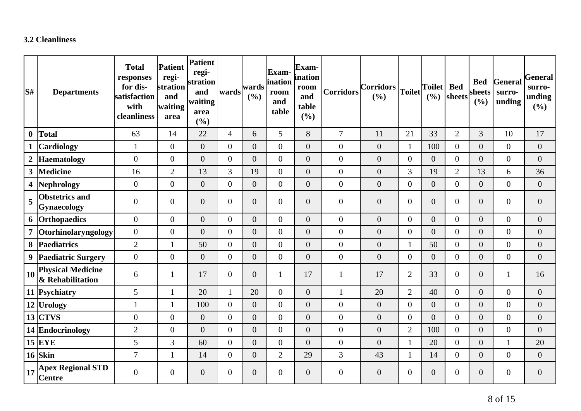### **3.2 Cleanliness**

| S#               | <b>Departments</b>                           | <b>Total</b><br>responses<br>for dis-<br>satisfaction<br>with<br>cleanliness | <b>Patient</b><br>regi-<br>stration<br>and<br>waiting<br>area | Patient<br>regi-<br>stration<br>and<br>waiting<br>area<br>(%) | wards          | wards<br>(%)     | <b>Exam</b><br>ination<br>room<br>and<br>table | Exam-<br>ination<br>room<br>and<br>table<br>(%) | <b>Corridors</b> | <b>Corridors</b><br>(%) | Toilet           | <b>Toilet</b><br>(9/0) | <b>Bed</b><br>sheets | <b>Bed</b><br>sheets<br>(%) | General<br>surro-<br>unding | <b>General</b><br>surro-<br>unding<br>(9/0) |
|------------------|----------------------------------------------|------------------------------------------------------------------------------|---------------------------------------------------------------|---------------------------------------------------------------|----------------|------------------|------------------------------------------------|-------------------------------------------------|------------------|-------------------------|------------------|------------------------|----------------------|-----------------------------|-----------------------------|---------------------------------------------|
| $\boldsymbol{0}$ | <b>Total</b>                                 | 63                                                                           | 14                                                            | 22                                                            | $\overline{4}$ | 6                | 5                                              | 8                                               | $\overline{7}$   | 11                      | 21               | 33                     | $\overline{2}$       | 3                           | 10                          | 17                                          |
|                  | <b>Cardiology</b>                            | $\mathbf{1}$                                                                 | $\overline{0}$                                                | $\overline{0}$                                                | $\overline{0}$ | $\overline{0}$   | $\overline{0}$                                 | $\overline{0}$                                  | $\mathbf{0}$     | $\overline{0}$          | $\mathbf{1}$     | 100                    | $\overline{0}$       | $\boldsymbol{0}$            | $\overline{0}$              | $\boldsymbol{0}$                            |
| $\boldsymbol{2}$ | Haematology                                  | $\overline{0}$                                                               | $\overline{0}$                                                | $\overline{0}$                                                | $\overline{0}$ | $\overline{0}$   | $\overline{0}$                                 | $\boldsymbol{0}$                                | $\mathbf{0}$     | $\overline{0}$          | $\boldsymbol{0}$ | $\overline{0}$         | $\overline{0}$       | $\overline{0}$              | $\overline{0}$              | $\boldsymbol{0}$                            |
| $\mathbf{3}$     | Medicine                                     | 16                                                                           | $\overline{2}$                                                | 13                                                            | 3              | 19               | $\overline{0}$                                 | $\overline{0}$                                  | $\boldsymbol{0}$ | $\overline{0}$          | 3                | 19                     | 2                    | 13                          | 6                           | 36                                          |
|                  | 4  Nephrology                                | $\boldsymbol{0}$                                                             | $\overline{0}$                                                | $\overline{0}$                                                | $\overline{0}$ | $\boldsymbol{0}$ | $\overline{0}$                                 | $\boldsymbol{0}$                                | $\boldsymbol{0}$ | $\overline{0}$          | $\overline{0}$   | $\overline{0}$         | $\overline{0}$       | $\boldsymbol{0}$            | $\overline{0}$              | $\boldsymbol{0}$                            |
| 5                | <b>Obstetrics and</b><br>Gynaecology         | $\mathbf{0}$                                                                 | $\overline{0}$                                                | $\overline{0}$                                                | $\overline{0}$ | $\overline{0}$   | $\overline{0}$                                 | $\overline{0}$                                  | $\overline{0}$   | $\overline{0}$          | $\boldsymbol{0}$ | $\overline{0}$         | $\overline{0}$       | $\boldsymbol{0}$            | $\overline{0}$              | $\boldsymbol{0}$                            |
|                  | 6 Orthopaedics                               | $\mathbf{0}$                                                                 | $\overline{0}$                                                | $\overline{0}$                                                | $\overline{0}$ | $\boldsymbol{0}$ | $\overline{0}$                                 | $\boldsymbol{0}$                                | $\boldsymbol{0}$ | $\overline{0}$          | $\overline{0}$   | $\overline{0}$         | $\overline{0}$       | $\boldsymbol{0}$            | $\overline{0}$              | $\boldsymbol{0}$                            |
| $\overline{7}$   | <b>Otorhinolaryngology</b>                   | $\overline{0}$                                                               | $\overline{0}$                                                | $\overline{0}$                                                | $\Omega$       | $\overline{0}$   | $\overline{0}$                                 | $\overline{0}$                                  | $\boldsymbol{0}$ | $\overline{0}$          | $\overline{0}$   | $\Omega$               | $\overline{0}$       | $\boldsymbol{0}$            | $\overline{0}$              | $\boldsymbol{0}$                            |
| 8                | Paediatrics                                  | $\overline{2}$                                                               | $\mathbf{1}$                                                  | 50                                                            | $\overline{0}$ | $\boldsymbol{0}$ | $\overline{0}$                                 | $\overline{0}$                                  | $\mathbf{0}$     | $\overline{0}$          | $\mathbf{1}$     | 50                     | $\overline{0}$       | $\boldsymbol{0}$            | $\overline{0}$              | $\boldsymbol{0}$                            |
| 9                | <b>Paediatric Surgery</b>                    | $\overline{0}$                                                               | $\overline{0}$                                                | $\overline{0}$                                                | $\overline{0}$ | $\overline{0}$   | $\overline{0}$                                 | $\boldsymbol{0}$                                | $\mathbf{0}$     | $\overline{0}$          | $\overline{0}$   | $\overline{0}$         | $\overline{0}$       | $\boldsymbol{0}$            | $\overline{0}$              | $\boldsymbol{0}$                            |
| 10               | <b>Physical Medicine</b><br>& Rehabilitation | 6                                                                            | $\mathbf{1}$                                                  | 17                                                            | $\overline{0}$ | $\boldsymbol{0}$ |                                                | 17                                              | $\mathbf{1}$     | 17                      | $\mathbf{2}$     | 33                     | $\overline{0}$       | $\boldsymbol{0}$            | 1                           | 16                                          |
|                  | 11 Psychiatry                                | 5                                                                            | $\mathbf{1}$                                                  | 20                                                            |                | 20               | $\overline{0}$                                 | $\overline{0}$                                  | $\mathbf{1}$     | 20                      | $\overline{2}$   | 40                     | $\overline{0}$       | $\overline{0}$              | $\overline{0}$              | $\boldsymbol{0}$                            |
|                  | 12 Urology                                   | $\mathbf{1}$                                                                 | $\mathbf{1}$                                                  | 100                                                           | $\overline{0}$ | $\overline{0}$   | $\overline{0}$                                 | $\overline{0}$                                  | $\overline{0}$   | $\overline{0}$          | $\overline{0}$   | $\overline{0}$         | $\overline{0}$       | $\boldsymbol{0}$            | $\overline{0}$              | $\boldsymbol{0}$                            |
|                  | $13$ CTVS                                    | $\overline{0}$                                                               | $\overline{0}$                                                | $\overline{0}$                                                | $\theta$       | $\overline{0}$   | $\overline{0}$                                 | $\overline{0}$                                  | $\mathbf{0}$     | $\overline{0}$          | $\overline{0}$   | $\Omega$               | $\overline{0}$       | $\boldsymbol{0}$            | $\overline{0}$              | $\boldsymbol{0}$                            |
|                  | 14 Endocrinology                             | $\overline{2}$                                                               | $\overline{0}$                                                | $\overline{0}$                                                | $\overline{0}$ | $\boldsymbol{0}$ | $\overline{0}$                                 | $\boldsymbol{0}$                                | $\overline{0}$   | $\overline{0}$          | $\overline{2}$   | 100                    | $\Omega$             | $\boldsymbol{0}$            | $\overline{0}$              | $\boldsymbol{0}$                            |
|                  | $15$ EYE                                     | 5                                                                            | 3                                                             | 60                                                            | $\overline{0}$ | $\overline{0}$   | $\overline{0}$                                 | $\overline{0}$                                  | $\boldsymbol{0}$ | $\overline{0}$          | $\mathbf{1}$     | 20                     | $\overline{0}$       | $\boldsymbol{0}$            |                             | 20                                          |
|                  | $16$ Skin                                    | $\overline{7}$                                                               | $\mathbf{1}$                                                  | 14                                                            | $\overline{0}$ | $\boldsymbol{0}$ | $\overline{2}$                                 | 29                                              | 3                | 43                      | $\mathbf{1}$     | 14                     | $\overline{0}$       | $\boldsymbol{0}$            | $\overline{0}$              | $\boldsymbol{0}$                            |
| 17               | <b>Apex Regional STD</b><br><b>Centre</b>    | $\overline{0}$                                                               | $\overline{0}$                                                | $\overline{0}$                                                | $\overline{0}$ | $\overline{0}$   | $\overline{0}$                                 | $\overline{0}$                                  | $\boldsymbol{0}$ | $\overline{0}$          | $\boldsymbol{0}$ | $\overline{0}$         | $\overline{0}$       | $\boldsymbol{0}$            | $\overline{0}$              | $\mathbf{0}$                                |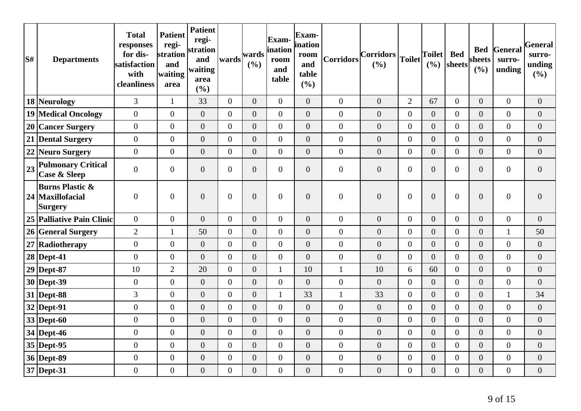| S# | <b>Departments</b>                                        | <b>Total</b><br>responses<br>for dis-<br>satisfaction<br>with<br>cleanliness | <b>Patient</b><br>regi-<br>stration<br>and<br>waiting<br>area | <b>Patient</b><br>regi-<br>stration<br>and<br>waiting<br>area<br>(%) | wards          | wards<br>(%)     | Exam-<br>ination<br>room<br>and<br>table | Exam-<br>ination<br>room<br>and<br>table<br>(%) | Corridors        | $ Corridors _{Toilet} $<br>(%) |                  | <b>Toilet</b><br>(%) | <b>Bed</b><br>sheets | sheets<br>(%)    | <b>Bed General</b><br>surro-<br>unding | General<br>surro-<br>unding<br>(%) |
|----|-----------------------------------------------------------|------------------------------------------------------------------------------|---------------------------------------------------------------|----------------------------------------------------------------------|----------------|------------------|------------------------------------------|-------------------------------------------------|------------------|--------------------------------|------------------|----------------------|----------------------|------------------|----------------------------------------|------------------------------------|
|    | 18 Neurology                                              | 3                                                                            | $\mathbf{1}$                                                  | 33                                                                   | $\overline{0}$ | $\overline{0}$   | $\overline{0}$                           | $\overline{0}$                                  | $\mathbf{0}$     | $\overline{0}$                 | $\overline{2}$   | 67                   | $\overline{0}$       | $\overline{0}$   | $\boldsymbol{0}$                       | $\boldsymbol{0}$                   |
|    | <b>19 Medical Oncology</b>                                | $\overline{0}$                                                               | $\overline{0}$                                                | $\overline{0}$                                                       | $\overline{0}$ | $\overline{0}$   | $\boldsymbol{0}$                         | $\overline{0}$                                  | $\mathbf{0}$     | $\boldsymbol{0}$               | $\boldsymbol{0}$ | $\overline{0}$       | $\overline{0}$       | $\boldsymbol{0}$ | $\boldsymbol{0}$                       | $\overline{0}$                     |
|    | 20 Cancer Surgery                                         | $\overline{0}$                                                               | $\overline{0}$                                                | $\overline{0}$                                                       | $\overline{0}$ | $\overline{0}$   | $\overline{0}$                           | $\overline{0}$                                  | $\mathbf{0}$     | $\overline{0}$                 | $\boldsymbol{0}$ | $\overline{0}$       | $\overline{0}$       | $\overline{0}$   | $\overline{0}$                         | $\boldsymbol{0}$                   |
|    | 21 Dental Surgery                                         | $\overline{0}$                                                               | $\overline{0}$                                                | $\boldsymbol{0}$                                                     | $\overline{0}$ | $\overline{0}$   | $\overline{0}$                           | $\overline{0}$                                  | $\mathbf{0}$     | $\overline{0}$                 | $\boldsymbol{0}$ | $\overline{0}$       | $\overline{0}$       | $\overline{0}$   | $\boldsymbol{0}$                       | $\boldsymbol{0}$                   |
|    | 22 Neuro Surgery                                          | $\overline{0}$                                                               | $\overline{0}$                                                | $\overline{0}$                                                       | $\overline{0}$ | $\overline{0}$   | $\boldsymbol{0}$                         | $\overline{0}$                                  | $\boldsymbol{0}$ | $\boldsymbol{0}$               | $\boldsymbol{0}$ | $\overline{0}$       | $\overline{0}$       | $\boldsymbol{0}$ | $\overline{0}$                         | $\overline{0}$                     |
| 23 | <b>Pulmonary Critical</b><br><b>Case &amp; Sleep</b>      | $\overline{0}$                                                               | $\overline{0}$                                                | $\boldsymbol{0}$                                                     | $\overline{0}$ | $\boldsymbol{0}$ | $\boldsymbol{0}$                         | $\boldsymbol{0}$                                | $\boldsymbol{0}$ | $\boldsymbol{0}$               | $\boldsymbol{0}$ | $\overline{0}$       | $\overline{0}$       | $\boldsymbol{0}$ | $\boldsymbol{0}$                       | $\theta$                           |
|    | <b>Burns Plastic &amp;</b><br>24 Maxillofacial<br>Surgery | $\overline{0}$                                                               | $\overline{0}$                                                | $\overline{0}$                                                       | $\overline{0}$ | $\overline{0}$   | $\boldsymbol{0}$                         | $\overline{0}$                                  | $\boldsymbol{0}$ | $\overline{0}$                 | $\mathbf{0}$     | $\overline{0}$       | $\overline{0}$       | $\overline{0}$   | $\boldsymbol{0}$                       | $\overline{0}$                     |
|    | 25 Palliative Pain Clinic                                 | $\overline{0}$                                                               | $\boldsymbol{0}$                                              | $\boldsymbol{0}$                                                     | $\overline{0}$ | $\boldsymbol{0}$ | $\boldsymbol{0}$                         | $\boldsymbol{0}$                                | $\overline{0}$   | $\boldsymbol{0}$               | $\overline{0}$   | $\overline{0}$       | $\overline{0}$       | $\overline{0}$   | $\boldsymbol{0}$                       | $\boldsymbol{0}$                   |
|    | 26 General Surgery                                        | $\overline{2}$                                                               | $\mathbf{1}$                                                  | 50                                                                   | $\overline{0}$ | $\boldsymbol{0}$ | $\overline{0}$                           | $\overline{0}$                                  | $\boldsymbol{0}$ | $\boldsymbol{0}$               | $\boldsymbol{0}$ | $\overline{0}$       | $\overline{0}$       | $\boldsymbol{0}$ | $\mathbf{1}$                           | 50                                 |
|    | 27 Radiotherapy                                           | $\mathbf{0}$                                                                 | $\overline{0}$                                                | $\overline{0}$                                                       | $\overline{0}$ | $\overline{0}$   | $\overline{0}$                           | $\overline{0}$                                  | $\mathbf{0}$     | $\overline{0}$                 | $\boldsymbol{0}$ | $\overline{0}$       | $\overline{0}$       | $\overline{0}$   | $\overline{0}$                         | $\theta$                           |
|    | $28$ Dept-41                                              | $\overline{0}$                                                               | $\overline{0}$                                                | $\boldsymbol{0}$                                                     | $\overline{0}$ | $\boldsymbol{0}$ | $\boldsymbol{0}$                         | $\boldsymbol{0}$                                | $\overline{0}$   | $\boldsymbol{0}$               | $\boldsymbol{0}$ | $\overline{0}$       | $\overline{0}$       | $\boldsymbol{0}$ | $\boldsymbol{0}$                       | $\boldsymbol{0}$                   |
|    | $29$ Dept-87                                              | 10                                                                           | $\overline{2}$                                                | 20                                                                   | $\overline{0}$ | $\overline{0}$   | 1                                        | 10                                              | $\mathbf{1}$     | 10                             | 6                | 60                   | $\overline{0}$       | $\boldsymbol{0}$ | $\boldsymbol{0}$                       | $\boldsymbol{0}$                   |
|    | 30 Dept-39                                                | $\mathbf{0}$                                                                 | $\overline{0}$                                                | $\overline{0}$                                                       | $\overline{0}$ | $\overline{0}$   | $\overline{0}$                           | $\overline{0}$                                  | $\mathbf{0}$     | $\overline{0}$                 | $\boldsymbol{0}$ | $\overline{0}$       | $\overline{0}$       | $\overline{0}$   | $\overline{0}$                         | $\theta$                           |
|    | 31 Dept-88                                                | 3                                                                            | $\overline{0}$                                                | $\boldsymbol{0}$                                                     | $\overline{0}$ | $\boldsymbol{0}$ | 1                                        | 33                                              | $\mathbf{1}$     | 33                             | $\boldsymbol{0}$ | $\overline{0}$       | $\overline{0}$       | $\boldsymbol{0}$ | $\mathbf{1}$                           | 34                                 |
|    | 32 Dept-91                                                | $\overline{0}$                                                               | $\overline{0}$                                                | $\overline{0}$                                                       | $\overline{0}$ | $\overline{0}$   | $\overline{0}$                           | $\overline{0}$                                  | $\mathbf{0}$     | $\overline{0}$                 | $\boldsymbol{0}$ | $\overline{0}$       | $\overline{0}$       | $\overline{0}$   | $\boldsymbol{0}$                       | $\boldsymbol{0}$                   |
|    | 33 Dept-60                                                | $\overline{0}$                                                               | $\overline{0}$                                                | $\overline{0}$                                                       | $\overline{0}$ | $\overline{0}$   | $\overline{0}$                           | $\overline{0}$                                  | $\overline{0}$   | $\overline{0}$                 | $\boldsymbol{0}$ | $\overline{0}$       | $\overline{0}$       | $\overline{0}$   | $\overline{0}$                         | $\mathbf{0}$                       |
|    | 34 Dept-46                                                | $\overline{0}$                                                               | $\overline{0}$                                                | $\overline{0}$                                                       | $\overline{0}$ | $\overline{0}$   | $\boldsymbol{0}$                         | $\overline{0}$                                  | $\overline{0}$   | $\overline{0}$                 | $\boldsymbol{0}$ | $\overline{0}$       | $\overline{0}$       | $\overline{0}$   | $\boldsymbol{0}$                       | $\boldsymbol{0}$                   |
|    | 35 Dept-95                                                | $\overline{0}$                                                               | $\overline{0}$                                                | $\overline{0}$                                                       | $\overline{0}$ | $\overline{0}$   | $\overline{0}$                           | $\overline{0}$                                  | $\mathbf{0}$     | $\overline{0}$                 | $\mathbf{0}$     | $\overline{0}$       | $\overline{0}$       | $\overline{0}$   | $\overline{0}$                         | $\overline{0}$                     |
|    | 36 Dept-89                                                | $\overline{0}$                                                               | $\overline{0}$                                                | $\overline{0}$                                                       | $\overline{0}$ | $\overline{0}$   | $\overline{0}$                           | $\overline{0}$                                  | $\overline{0}$   | $\overline{0}$                 | $\boldsymbol{0}$ | $\overline{0}$       | $\overline{0}$       | $\overline{0}$   | $\overline{0}$                         | $\theta$                           |
|    | 37 Dept-31                                                | $\overline{0}$                                                               | $\overline{0}$                                                | $\boldsymbol{0}$                                                     | $\overline{0}$ | $\boldsymbol{0}$ | $\boldsymbol{0}$                         | $\boldsymbol{0}$                                | $\boldsymbol{0}$ | $\boldsymbol{0}$               | $\boldsymbol{0}$ | $\boldsymbol{0}$     | $\overline{0}$       | $\overline{0}$   | $\boldsymbol{0}$                       | $\mathbf{0}$                       |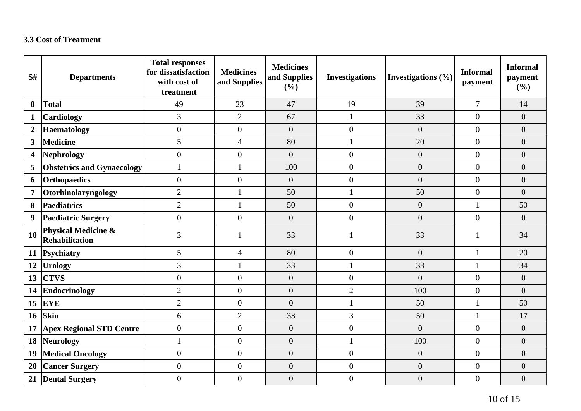## **3.3 Cost of Treatment**

| S#                      | <b>Departments</b>                                      | <b>Total responses</b><br>for dissatisfaction<br>with cost of<br>treatment | <b>Medicines</b><br>and Supplies | <b>Medicines</b><br>and Supplies<br>(%) | <b>Investigations</b> | Investigations $(\% )$ | <b>Informal</b><br>payment | <b>Informal</b><br>payment<br>(%) |
|-------------------------|---------------------------------------------------------|----------------------------------------------------------------------------|----------------------------------|-----------------------------------------|-----------------------|------------------------|----------------------------|-----------------------------------|
| $\bf{0}$                | <b>Total</b>                                            | 49                                                                         | 23                               | 47                                      | 19                    | 39                     | $\overline{7}$             | 14                                |
| $\mathbf{1}$            | <b>Cardiology</b>                                       | 3                                                                          | $\overline{2}$                   | 67                                      | $\mathbf{1}$          | 33                     | $\overline{0}$             | $\overline{0}$                    |
| $\overline{2}$          | <b>Haematology</b>                                      | $\boldsymbol{0}$                                                           | $\overline{0}$                   | $\boldsymbol{0}$                        | $\boldsymbol{0}$      | $\boldsymbol{0}$       | $\theta$                   | $\overline{0}$                    |
| $\overline{\mathbf{3}}$ | <b>Medicine</b>                                         | 5                                                                          | $\overline{4}$                   | 80                                      | $\mathbf{1}$          | 20                     | $\overline{0}$             | $\overline{0}$                    |
| $\overline{\mathbf{4}}$ | <b>Nephrology</b>                                       | $\overline{0}$                                                             | $\overline{0}$                   | $\overline{0}$                          | $\overline{0}$        | $\overline{0}$         | $\overline{0}$             | $\overline{0}$                    |
| 5                       | <b>Obstetrics and Gynaecology</b>                       | $\mathbf{1}$                                                               |                                  | 100                                     | $\boldsymbol{0}$      | $\overline{0}$         | $\overline{0}$             | $\overline{0}$                    |
| 6                       | <b>Orthopaedics</b>                                     | $\boldsymbol{0}$                                                           | $\boldsymbol{0}$                 | $\boldsymbol{0}$                        | $\boldsymbol{0}$      | $\boldsymbol{0}$       | $\overline{0}$             | $\overline{0}$                    |
| $\overline{7}$          | Otorhinolaryngology                                     | $\mathbf{2}$                                                               | 1                                | 50                                      | $\mathbf{1}$          | 50                     | $\overline{0}$             | $\overline{0}$                    |
| 8                       | <b>Paediatrics</b>                                      | $\overline{2}$                                                             | $\mathbf{1}$                     | 50                                      | $\boldsymbol{0}$      | $\boldsymbol{0}$       | $\mathbf{1}$               | 50                                |
| 9                       | <b>Paediatric Surgery</b>                               | $\overline{0}$                                                             | $\overline{0}$                   | $\overline{0}$                          | $\overline{0}$        | $\overline{0}$         | $\theta$                   | $\overline{0}$                    |
| <b>10</b>               | <b>Physical Medicine &amp;</b><br><b>Rehabilitation</b> | 3                                                                          |                                  | 33                                      |                       | 33                     |                            | 34                                |
| 11                      | Psychiatry                                              | 5                                                                          | $\overline{4}$                   | 80                                      | $\theta$              | $\overline{0}$         | $\mathbf{1}$               | 20                                |
| 12                      | <b>Urology</b>                                          | 3                                                                          |                                  | 33                                      | 1                     | 33                     |                            | 34                                |
| 13                      | <b>CTVS</b>                                             | $\boldsymbol{0}$                                                           | $\overline{0}$                   | $\boldsymbol{0}$                        | $\boldsymbol{0}$      | $\overline{0}$         | $\overline{0}$             | $\overline{0}$                    |
| 14                      | Endocrinology                                           | $\overline{2}$                                                             | $\overline{0}$                   | $\boldsymbol{0}$                        | $\overline{2}$        | 100                    | $\overline{0}$             | $\boldsymbol{0}$                  |
| 15                      | EYE                                                     | $\overline{2}$                                                             | $\overline{0}$                   | $\overline{0}$                          | $\mathbf{1}$          | 50                     | $\mathbf{1}$               | 50                                |
| <b>16</b>               | <b>Skin</b>                                             | 6                                                                          | $\overline{2}$                   | 33                                      | 3                     | 50                     | $\mathbf{1}$               | 17                                |
| 17                      | <b>Apex Regional STD Centre</b>                         | $\boldsymbol{0}$                                                           | $\overline{0}$                   | $\boldsymbol{0}$                        | $\boldsymbol{0}$      | $\overline{0}$         | $\overline{0}$             | $\overline{0}$                    |
| 18                      | Neurology                                               | $\mathbf{1}$                                                               | $\overline{0}$                   | $\boldsymbol{0}$                        | $\mathbf{1}$          | 100                    | $\overline{0}$             | $\overline{0}$                    |
| 19                      | <b>Medical Oncology</b>                                 | $\boldsymbol{0}$                                                           | $\overline{0}$                   | $\boldsymbol{0}$                        | $\boldsymbol{0}$      | $\boldsymbol{0}$       | $\overline{0}$             | $\overline{0}$                    |
| 20                      | <b>Cancer Surgery</b>                                   | $\boldsymbol{0}$                                                           | $\boldsymbol{0}$                 | $\boldsymbol{0}$                        | $\boldsymbol{0}$      | $\boldsymbol{0}$       | $\overline{0}$             | $\overline{0}$                    |
| 21                      | <b>Dental Surgery</b>                                   | $\overline{0}$                                                             | $\overline{0}$                   | $\overline{0}$                          | $\boldsymbol{0}$      | $\overline{0}$         | $\overline{0}$             | $\overline{0}$                    |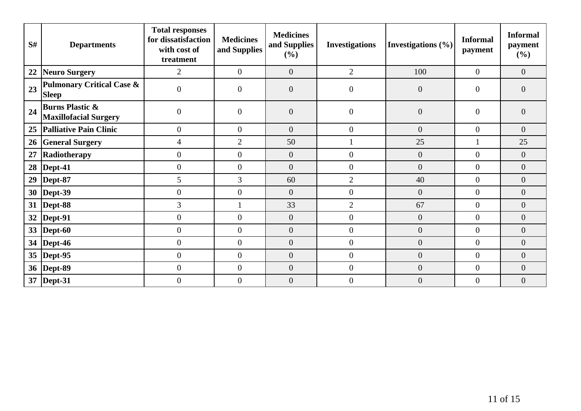| S# | <b>Departments</b>                                         | <b>Total responses</b><br>for dissatisfaction<br>with cost of<br>treatment | <b>Medicines</b><br>and Supplies | <b>Medicines</b><br>and Supplies<br>$($ %) | <b>Investigations</b> | Investigations (%) | <b>Informal</b><br>payment | <b>Informal</b><br>payment<br>(%) |
|----|------------------------------------------------------------|----------------------------------------------------------------------------|----------------------------------|--------------------------------------------|-----------------------|--------------------|----------------------------|-----------------------------------|
| 22 | Neuro Surgery                                              | $\overline{2}$                                                             | $\boldsymbol{0}$                 | $\overline{0}$                             | $\overline{2}$        | 100                | $\mathbf{0}$               | $\overline{0}$                    |
| 23 | <b>Pulmonary Critical Case &amp;</b><br><b>Sleep</b>       | $\overline{0}$                                                             | $\overline{0}$                   | $\overline{0}$                             | $\overline{0}$        | $\overline{0}$     | $\theta$                   | $\overline{0}$                    |
| 24 | <b>Burns Plastic &amp;</b><br><b>Maxillofacial Surgery</b> | $\boldsymbol{0}$                                                           | $\boldsymbol{0}$                 | $\boldsymbol{0}$                           | $\boldsymbol{0}$      | $\overline{0}$     | $\overline{0}$             | $\overline{0}$                    |
| 25 | Palliative Pain Clinic                                     | $\boldsymbol{0}$                                                           | $\overline{0}$                   | $\boldsymbol{0}$                           | $\overline{0}$        | $\overline{0}$     | $\mathbf{0}$               | $\overline{0}$                    |
| 26 | <b>General Surgery</b>                                     | $\overline{4}$                                                             | $\overline{2}$                   | 50                                         |                       | 25                 |                            | 25                                |
| 27 | Radiotherapy                                               | $\boldsymbol{0}$                                                           | $\mathbf{0}$                     | $\boldsymbol{0}$                           | $\boldsymbol{0}$      | $\overline{0}$     | $\theta$                   | $\boldsymbol{0}$                  |
| 28 | $\vert$ Dept-41                                            | $\boldsymbol{0}$                                                           | $\overline{0}$                   | $\overline{0}$                             | $\overline{0}$        | $\overline{0}$     | $\overline{0}$             | $\overline{0}$                    |
| 29 | Dept-87                                                    | 5                                                                          | $\overline{3}$                   | 60                                         | $\overline{2}$        | 40                 | $\Omega$                   | $\overline{0}$                    |
|    | 30   Dept-39                                               | $\boldsymbol{0}$                                                           | $\overline{0}$                   | $\overline{0}$                             | $\overline{0}$        | $\overline{0}$     | $\overline{0}$             | $\overline{0}$                    |
|    | 31  Dept-88                                                | 3                                                                          |                                  | 33                                         | $\overline{2}$        | 67                 | $\mathbf{0}$               | $\overline{0}$                    |
|    | 32   Dept-91                                               | $\boldsymbol{0}$                                                           | $\theta$                         | $\boldsymbol{0}$                           | $\overline{0}$        | $\overline{0}$     | $\theta$                   | $\overline{0}$                    |
|    | 33  Dept-60                                                | $\boldsymbol{0}$                                                           | $\overline{0}$                   | $\boldsymbol{0}$                           | $\overline{0}$        | $\overline{0}$     | $\overline{0}$             | $\overline{0}$                    |
|    | 34   Dept-46                                               | $\overline{0}$                                                             | $\theta$                         | $\overline{0}$                             | $\overline{0}$        | $\overline{0}$     | $\theta$                   | $\overline{0}$                    |
|    | 35  Dept-95                                                | $\overline{0}$                                                             | $\mathbf{0}$                     | $\overline{0}$                             | $\overline{0}$        | $\overline{0}$     | $\mathbf{0}$               | $\overline{0}$                    |
|    | 36   Dept-89                                               | $\boldsymbol{0}$                                                           | $\mathbf{0}$                     | $\boldsymbol{0}$                           | $\overline{0}$        | $\boldsymbol{0}$   | $\mathbf{0}$               | $\overline{0}$                    |
|    | 37   Dept-31                                               | $\boldsymbol{0}$                                                           | $\overline{0}$                   | $\boldsymbol{0}$                           | $\boldsymbol{0}$      | $\overline{0}$     | $\boldsymbol{0}$           | $\overline{0}$                    |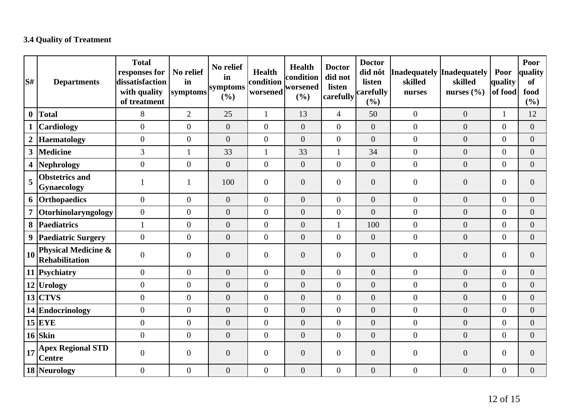# **3.4 Quality of Treatment**

| S#               | <b>Departments</b>                               | <b>Total</b><br>responses for<br>dissatisfaction<br>with quality<br>of treatment | No relief<br>in<br>symptoms | No relief<br>in<br>symptoms<br>(%) | <b>Health</b><br>condition<br>worsened | Health<br>condition<br>worsened<br>(%) | <b>Doctor</b><br>did not<br>listen<br>carefully | <b>Doctor</b><br>did nôt<br>listen<br>carefully<br>(%) | Inadequately Inadequately<br>skilled<br>nurses | skilled<br>nurses $(\% )$ | Poor<br>quality<br>of food | Poor<br>quality<br><b>of</b><br>food<br>$(\%)$ |
|------------------|--------------------------------------------------|----------------------------------------------------------------------------------|-----------------------------|------------------------------------|----------------------------------------|----------------------------------------|-------------------------------------------------|--------------------------------------------------------|------------------------------------------------|---------------------------|----------------------------|------------------------------------------------|
| $\boldsymbol{0}$ | Total                                            | 8                                                                                | $\overline{2}$              | 25                                 | $\mathbf{1}$                           | 13                                     | $\overline{4}$                                  | 50                                                     | $\overline{0}$                                 | $\overline{0}$            | $\mathbf{1}$               | 12                                             |
|                  | <b>Cardiology</b>                                | $\overline{0}$                                                                   | $\overline{0}$              | $\overline{0}$                     | $\overline{0}$                         | $\overline{0}$                         | $\overline{0}$                                  | $\overline{0}$                                         | $\overline{0}$                                 | $\overline{0}$            | $\overline{0}$             | $\overline{0}$                                 |
| $\boldsymbol{2}$ | Haematology                                      | $\boldsymbol{0}$                                                                 | $\boldsymbol{0}$            | $\overline{0}$                     | $\theta$                               | $\overline{0}$                         | $\overline{0}$                                  | $\overline{0}$                                         | $\boldsymbol{0}$                               | $\overline{0}$            | $\overline{0}$             | $\overline{0}$                                 |
|                  | 3 Medicine                                       | 3                                                                                | 1                           | 33                                 | 1                                      | 33                                     | $\mathbf{1}$                                    | 34                                                     | $\boldsymbol{0}$                               | $\overline{0}$            | $\overline{0}$             | $\boldsymbol{0}$                               |
|                  | 4 Nephrology                                     | $\boldsymbol{0}$                                                                 | $\overline{0}$              | $\boldsymbol{0}$                   | $\mathbf{0}$                           | $\overline{0}$                         | $\overline{0}$                                  | $\boldsymbol{0}$                                       | $\boldsymbol{0}$                               | $\overline{0}$            | $\overline{0}$             | $\overline{0}$                                 |
| 5                | <b>Obstetrics and</b><br>Gynaecology             |                                                                                  | 1                           | 100                                | $\mathbf{0}$                           | $\overline{0}$                         | $\overline{0}$                                  | $\overline{0}$                                         | $\overline{0}$                                 | $\overline{0}$            | $\overline{0}$             | $\overline{0}$                                 |
|                  | 6 Orthopaedics                                   | $\overline{0}$                                                                   | $\overline{0}$              | $\overline{0}$                     | $\overline{0}$                         | $\overline{0}$                         | $\overline{0}$                                  | $\overline{0}$                                         | $\boldsymbol{0}$                               | $\overline{0}$            | $\overline{0}$             | $\overline{0}$                                 |
|                  | 7 Otorhinolaryngology                            | $\boldsymbol{0}$                                                                 | $\boldsymbol{0}$            | $\boldsymbol{0}$                   | $\mathbf{0}$                           | $\overline{0}$                         | $\overline{0}$                                  | $\overline{0}$                                         | $\boldsymbol{0}$                               | $\overline{0}$            | $\overline{0}$             | $\overline{0}$                                 |
|                  | 8   Paediatrics                                  | $\mathbf{1}$                                                                     | $\overline{0}$              | $\overline{0}$                     | $\overline{0}$                         | $\overline{0}$                         | $\mathbf{1}$                                    | 100                                                    | $\boldsymbol{0}$                               | $\overline{0}$            | $\boldsymbol{0}$           | $\overline{0}$                                 |
|                  | 9 Paediatric Surgery                             | $\overline{0}$                                                                   | $\boldsymbol{0}$            | $\boldsymbol{0}$                   | $\boldsymbol{0}$                       | $\overline{0}$                         | $\overline{0}$                                  | $\boldsymbol{0}$                                       | $\overline{0}$                                 | $\overline{0}$            | $\boldsymbol{0}$           | $\overline{0}$                                 |
| 10 <sup>1</sup>  | <b>Physical Medicine &amp;</b><br>Rehabilitation | $\overline{0}$                                                                   | $\overline{0}$              | $\overline{0}$                     | $\boldsymbol{0}$                       | $\overline{0}$                         | $\overline{0}$                                  | $\overline{0}$                                         | $\overline{0}$                                 | $\overline{0}$            | $\theta$                   | $\overline{0}$                                 |
|                  | 11 Psychiatry                                    | $\boldsymbol{0}$                                                                 | $\mathbf{0}$                | $\boldsymbol{0}$                   | $\mathbf{0}$                           | $\overline{0}$                         | $\overline{0}$                                  | $\overline{0}$                                         | $\overline{0}$                                 | $\overline{0}$            | $\overline{0}$             | $\overline{0}$                                 |
|                  | $12$ Urology                                     | $\boldsymbol{0}$                                                                 | $\overline{0}$              | $\overline{0}$                     | $\mathbf{0}$                           | $\overline{0}$                         | $\overline{0}$                                  | $\boldsymbol{0}$                                       | $\boldsymbol{0}$                               | $\overline{0}$            | $\overline{0}$             | $\overline{0}$                                 |
|                  | $13$ CTVS                                        | $\boldsymbol{0}$                                                                 | $\boldsymbol{0}$            | $\boldsymbol{0}$                   | $\mathbf{0}$                           | $\boldsymbol{0}$                       | $\overline{0}$                                  | $\boldsymbol{0}$                                       | $\overline{0}$                                 | $\overline{0}$            | $\boldsymbol{0}$           | $\boldsymbol{0}$                               |
|                  | 14 Endocrinology                                 | $\boldsymbol{0}$                                                                 | $\boldsymbol{0}$            | $\boldsymbol{0}$                   | $\boldsymbol{0}$                       | $\boldsymbol{0}$                       | $\overline{0}$                                  | $\boldsymbol{0}$                                       | $\boldsymbol{0}$                               | $\overline{0}$            | $\boldsymbol{0}$           | $\boldsymbol{0}$                               |
|                  | $15$ EYE                                         | $\overline{0}$                                                                   | $\overline{0}$              | $\boldsymbol{0}$                   | $\boldsymbol{0}$                       | $\overline{0}$                         | $\overline{0}$                                  | $\overline{0}$                                         | $\boldsymbol{0}$                               | $\overline{0}$            | $\overline{0}$             | $\boldsymbol{0}$                               |
|                  | $16$ Skin                                        | $\boldsymbol{0}$                                                                 | $\boldsymbol{0}$            | $\boldsymbol{0}$                   | $\boldsymbol{0}$                       | $\boldsymbol{0}$                       | $\overline{0}$                                  | $\boldsymbol{0}$                                       | $\boldsymbol{0}$                               | $\overline{0}$            | $\boldsymbol{0}$           | $\overline{0}$                                 |
| 17               | <b>Apex Regional STD</b><br><b>Centre</b>        | $\overline{0}$                                                                   | $\boldsymbol{0}$            | $\overline{0}$                     | $\theta$                               | $\overline{0}$                         | $\overline{0}$                                  | $\overline{0}$                                         | $\overline{0}$                                 | $\overline{0}$            | $\overline{0}$             | $\overline{0}$                                 |
|                  | 18 Neurology                                     | $\overline{0}$                                                                   | $\boldsymbol{0}$            | $\boldsymbol{0}$                   | $\overline{0}$                         | $\boldsymbol{0}$                       | $\overline{0}$                                  | $\overline{0}$                                         | $\overline{0}$                                 | $\overline{0}$            | $\overline{0}$             | $\overline{0}$                                 |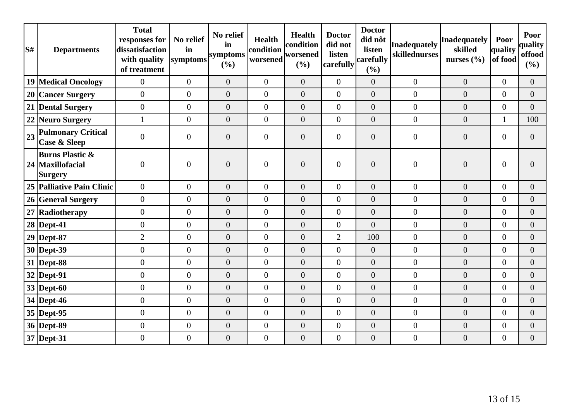| S# | <b>Departments</b>                                               | <b>Total</b><br>responses for<br>dissatisfaction<br>with quality<br>of treatment | No relief<br>in<br>symptoms | No relief<br>in<br>symptoms<br>(%) | <b>Health</b><br>condition<br>worsened | Health<br>condition<br>worsened<br>(%) | <b>Doctor</b><br>did not<br>listen<br>carefully | <b>Doctor</b><br>did nôt<br>listen<br>carefully<br>(%) | <b>Inadequately</b><br>skillednurses | <b>Inadequately</b><br>skilled<br>nurses $(\% )$ | Poor<br>quality<br>of food | Poor<br>quality<br>offood<br>(%) |
|----|------------------------------------------------------------------|----------------------------------------------------------------------------------|-----------------------------|------------------------------------|----------------------------------------|----------------------------------------|-------------------------------------------------|--------------------------------------------------------|--------------------------------------|--------------------------------------------------|----------------------------|----------------------------------|
|    | <b>19 Medical Oncology</b>                                       | $\overline{0}$                                                                   | $\overline{0}$              | $\overline{0}$                     | $\overline{0}$                         | $\overline{0}$                         | $\overline{0}$                                  | $\overline{0}$                                         | $\boldsymbol{0}$                     | $\overline{0}$                                   | $\overline{0}$             | $\overline{0}$                   |
|    | 20 Cancer Surgery                                                | $\overline{0}$                                                                   | $\overline{0}$              | $\overline{0}$                     | $\overline{0}$                         | $\overline{0}$                         | $\overline{0}$                                  | $\overline{0}$                                         | $\overline{0}$                       | $\overline{0}$                                   | $\overline{0}$             | $\overline{0}$                   |
|    | 21 Dental Surgery                                                | $\overline{0}$                                                                   | $\overline{0}$              | $\overline{0}$                     | $\overline{0}$                         | $\overline{0}$                         | $\overline{0}$                                  | $\overline{0}$                                         | $\overline{0}$                       | $\overline{0}$                                   | $\overline{0}$             | $\Omega$                         |
|    | 22 Neuro Surgery                                                 | $\mathbf{1}$                                                                     | $\boldsymbol{0}$            | $\boldsymbol{0}$                   | $\overline{0}$                         | $\boldsymbol{0}$                       | $\overline{0}$                                  | $\overline{0}$                                         | $\boldsymbol{0}$                     | $\boldsymbol{0}$                                 | 1                          | 100                              |
| 23 | <b>Pulmonary Critical</b><br><b>Case &amp; Sleep</b>             | $\overline{0}$                                                                   | $\boldsymbol{0}$            | $\boldsymbol{0}$                   | $\boldsymbol{0}$                       | $\overline{0}$                         | $\overline{0}$                                  | $\overline{0}$                                         | $\overline{0}$                       | $\boldsymbol{0}$                                 | $\overline{0}$             | $\Omega$                         |
|    | <b>Burns Plastic &amp;</b><br>24 Maxillofacial<br><b>Surgery</b> | $\overline{0}$                                                                   | $\boldsymbol{0}$            | $\overline{0}$                     | $\overline{0}$                         | $\overline{0}$                         | $\overline{0}$                                  | $\overline{0}$                                         | $\boldsymbol{0}$                     | $\boldsymbol{0}$                                 | $\overline{0}$             | $\Omega$                         |
|    | 25   Palliative Pain Clinic                                      | $\overline{0}$                                                                   | $\boldsymbol{0}$            | $\overline{0}$                     | $\boldsymbol{0}$                       | $\overline{0}$                         | $\overline{0}$                                  | $\overline{0}$                                         | $\boldsymbol{0}$                     | $\boldsymbol{0}$                                 | $\overline{0}$             | $\overline{0}$                   |
|    | 26 General Surgery                                               | $\overline{0}$                                                                   | $\overline{0}$              | $\boldsymbol{0}$                   | $\overline{0}$                         | $\overline{0}$                         | $\overline{0}$                                  | $\boldsymbol{0}$                                       | $\boldsymbol{0}$                     | $\boldsymbol{0}$                                 | $\overline{0}$             | $\overline{0}$                   |
|    | 27 Radiotherapy                                                  | $\overline{0}$                                                                   | $\overline{0}$              | $\overline{0}$                     | $\overline{0}$                         | $\overline{0}$                         | $\overline{0}$                                  | $\overline{0}$                                         | $\overline{0}$                       | $\overline{0}$                                   | $\theta$                   | $\Omega$                         |
|    | <b>28 Dept-41</b>                                                | $\overline{0}$                                                                   | $\overline{0}$              | $\overline{0}$                     | $\overline{0}$                         | $\overline{0}$                         | $\overline{0}$                                  | $\overline{0}$                                         | $\overline{0}$                       | $\overline{0}$                                   | $\theta$                   | $\overline{0}$                   |
|    | $29$ Dept-87                                                     | $\overline{2}$                                                                   | $\overline{0}$              | $\overline{0}$                     | $\overline{0}$                         | $\overline{0}$                         | $\overline{2}$                                  | 100                                                    | $\overline{0}$                       | $\boldsymbol{0}$                                 | $\overline{0}$             | $\overline{0}$                   |
|    | $30$ Dept-39                                                     | $\overline{0}$                                                                   | $\overline{0}$              | $\overline{0}$                     | $\overline{0}$                         | $\overline{0}$                         | $\overline{0}$                                  | $\overline{0}$                                         | $\boldsymbol{0}$                     | $\overline{0}$                                   | $\overline{0}$             | $\overline{0}$                   |
|    | $31$ Dept-88                                                     | $\overline{0}$                                                                   | $\boldsymbol{0}$            | $\overline{0}$                     | $\boldsymbol{0}$                       | $\boldsymbol{0}$                       | $\overline{0}$                                  | $\boldsymbol{0}$                                       | $\boldsymbol{0}$                     | $\boldsymbol{0}$                                 | $\theta$                   | $\overline{0}$                   |
|    | $32$ Dept-91                                                     | $\overline{0}$                                                                   | $\overline{0}$              | $\overline{0}$                     | $\overline{0}$                         | $\overline{0}$                         | $\overline{0}$                                  | $\overline{0}$                                         | $\overline{0}$                       | $\overline{0}$                                   | $\overline{0}$             | $\overline{0}$                   |
|    | $33$ Dept-60                                                     | $\overline{0}$                                                                   | $\overline{0}$              | $\overline{0}$                     | $\overline{0}$                         | $\overline{0}$                         | $\overline{0}$                                  | $\overline{0}$                                         | $\overline{0}$                       | $\overline{0}$                                   | $\theta$                   | $\overline{0}$                   |
|    | $34$ Dept-46                                                     | $\overline{0}$                                                                   | $\overline{0}$              | $\overline{0}$                     | $\overline{0}$                         | $\overline{0}$                         | $\overline{0}$                                  | $\overline{0}$                                         | $\overline{0}$                       | $\overline{0}$                                   | $\overline{0}$             | $\overline{0}$                   |
|    | 35 Dept-95                                                       | $\overline{0}$                                                                   | $\boldsymbol{0}$            | $\boldsymbol{0}$                   | $\boldsymbol{0}$                       | $\boldsymbol{0}$                       | $\overline{0}$                                  | $\overline{0}$                                         | $\boldsymbol{0}$                     | $\boldsymbol{0}$                                 | $\theta$                   | $\overline{0}$                   |
|    | $36$ Dept-89                                                     | $\overline{0}$                                                                   | $\boldsymbol{0}$            | $\overline{0}$                     | $\boldsymbol{0}$                       | $\boldsymbol{0}$                       | $\overline{0}$                                  | $\overline{0}$                                         | $\boldsymbol{0}$                     | $\overline{0}$                                   | $\overline{0}$             | $\overline{0}$                   |
|    | 37 Dept-31                                                       | $\overline{0}$                                                                   | $\boldsymbol{0}$            | $\boldsymbol{0}$                   | $\boldsymbol{0}$                       | $\boldsymbol{0}$                       | $\overline{0}$                                  | $\overline{0}$                                         | $\boldsymbol{0}$                     | $\boldsymbol{0}$                                 | $\overline{0}$             | $\overline{0}$                   |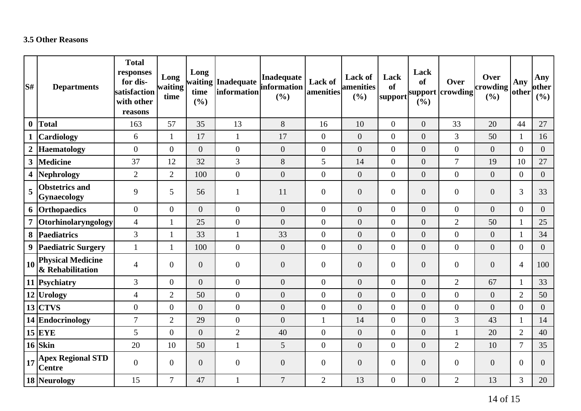## **3.5 Other Reasons**

| S#               | <b>Departments</b>                           | <b>Total</b><br>responses<br>for dis-<br>satisfaction<br>with other<br>reasons | Long<br>waiting<br>time | Long<br>time<br>(%) | waiting Inadequate<br>information | Inadequate<br>information<br>(%) | Lack of<br>amenities | <b>Lack of</b><br><b>amenities</b><br>(%) | Lack<br>of<br>support | Lack<br><b>of</b><br>(%) | Over<br>support crowding | Over<br>$ $ crowding $ $<br>(%) | Any<br>other   | Any<br>other<br>(%) |
|------------------|----------------------------------------------|--------------------------------------------------------------------------------|-------------------------|---------------------|-----------------------------------|----------------------------------|----------------------|-------------------------------------------|-----------------------|--------------------------|--------------------------|---------------------------------|----------------|---------------------|
| $\boldsymbol{0}$ | <b>Total</b>                                 | 163                                                                            | 57                      | 35                  | 13                                | 8                                | 16                   | 10                                        | $\overline{0}$        | $\overline{0}$           | 33                       | 20                              | 44             | 27                  |
|                  | <b>Cardiology</b>                            | 6                                                                              | $\mathbf{1}$            | 17                  | $\mathbf{1}$                      | 17                               | $\overline{0}$       | $\overline{0}$                            | $\overline{0}$        | $\boldsymbol{0}$         | 3                        | 50                              | $\mathbf{1}$   | 16                  |
|                  | <b>Haematology</b>                           | $\overline{0}$                                                                 | $\overline{0}$          | $\overline{0}$      | $\boldsymbol{0}$                  | $\theta$                         | $\overline{0}$       | $\overline{0}$                            | $\overline{0}$        | $\overline{0}$           | $\overline{0}$           | $\overline{0}$                  | $\overline{0}$ | $\overline{0}$      |
| $\mathbf{3}$     | Medicine                                     | 37                                                                             | 12                      | 32                  | 3                                 | 8                                | 5                    | 14                                        | $\boldsymbol{0}$      | $\overline{0}$           | $\overline{7}$           | 19                              | 10             | 27                  |
| 4                | Nephrology                                   | $\overline{2}$                                                                 | $\overline{2}$          | 100                 | $\boldsymbol{0}$                  | $\overline{0}$                   | $\boldsymbol{0}$     | $\overline{0}$                            | $\overline{0}$        | $\overline{0}$           | $\theta$                 | $\overline{0}$                  | $\overline{0}$ | $\overline{0}$      |
| 5                | <b>Obstetrics</b> and<br>Gynaecology         | 9                                                                              | 5                       | 56                  | $\mathbf{1}$                      | 11                               | $\boldsymbol{0}$     | $\overline{0}$                            | $\overline{0}$        | $\boldsymbol{0}$         | $\overline{0}$           | $\overline{0}$                  | $\overline{3}$ | 33                  |
|                  | 6 Orthopaedics                               | $\overline{0}$                                                                 | $\overline{0}$          | $\overline{0}$      | $\overline{0}$                    | $\theta$                         | $\boldsymbol{0}$     | $\overline{0}$                            | $\overline{0}$        | $\overline{0}$           | $\overline{0}$           | $\overline{0}$                  | $\overline{0}$ | $\overline{0}$      |
|                  | Otorhinolaryngology                          | $\overline{4}$                                                                 | $\mathbf{1}$            | 25                  | $\boldsymbol{0}$                  | $\boldsymbol{0}$                 | $\boldsymbol{0}$     | $\overline{0}$                            | $\overline{0}$        | $\overline{0}$           | $\overline{2}$           | 50                              | $\mathbf{1}$   | 25                  |
|                  | 8 Paediatrics                                | $\mathfrak{Z}$                                                                 | 1                       | 33                  | $\mathbf{1}$                      | 33                               | $\boldsymbol{0}$     | $\overline{0}$                            | $\overline{0}$        | $\overline{0}$           | $\overline{0}$           | $\overline{0}$                  | $\mathbf{1}$   | 34                  |
|                  | 9 Paediatric Surgery                         | $\mathbf{1}$                                                                   | $\mathbf{1}$            | 100                 | $\boldsymbol{0}$                  | $\boldsymbol{0}$                 | $\boldsymbol{0}$     | $\overline{0}$                            | $\boldsymbol{0}$      | $\boldsymbol{0}$         | $\overline{0}$           | $\overline{0}$                  | $\overline{0}$ | $\overline{0}$      |
| 10               | <b>Physical Medicine</b><br>& Rehabilitation | $\overline{4}$                                                                 | $\mathbf{0}$            | $\overline{0}$      | $\boldsymbol{0}$                  | $\boldsymbol{0}$                 | $\boldsymbol{0}$     | $\overline{0}$                            | $\overline{0}$        | $\overline{0}$           | $\overline{0}$           | $\overline{0}$                  | $\overline{4}$ | 100                 |
|                  | 11 Psychiatry                                | 3                                                                              | $\overline{0}$          | $\overline{0}$      | $\boldsymbol{0}$                  | $\boldsymbol{0}$                 | $\boldsymbol{0}$     | $\overline{0}$                            | $\overline{0}$        | $\overline{0}$           | $\overline{2}$           | 67                              | $\mathbf{1}$   | 33                  |
|                  | 12 Urology                                   | $\overline{4}$                                                                 | $\overline{2}$          | 50                  | $\boldsymbol{0}$                  | $\boldsymbol{0}$                 | $\boldsymbol{0}$     | $\overline{0}$                            | $\overline{0}$        | $\overline{0}$           | $\overline{0}$           | $\overline{0}$                  | $\overline{2}$ | 50                  |
|                  | $13$ CTVS                                    | $\overline{0}$                                                                 | $\overline{0}$          | $\overline{0}$      | $\boldsymbol{0}$                  | $\overline{0}$                   | $\boldsymbol{0}$     | $\overline{0}$                            | $\overline{0}$        | $\overline{0}$           | $\Omega$                 | $\overline{0}$                  | $\overline{0}$ | $\overline{0}$      |
|                  | 14 Endocrinology                             | $\overline{7}$                                                                 | $\overline{2}$          | 29                  | $\boldsymbol{0}$                  | $\boldsymbol{0}$                 | $\mathbf{1}$         | 14                                        | $\overline{0}$        | $\boldsymbol{0}$         | 3                        | 43                              | $\mathbf{1}$   | 14                  |
|                  | $15$ EYE                                     | 5                                                                              | $\boldsymbol{0}$        | $\overline{0}$      | $\overline{2}$                    | 40                               | $\boldsymbol{0}$     | $\overline{0}$                            | $\boldsymbol{0}$      | $\boldsymbol{0}$         | 1                        | 20                              | $\overline{2}$ | 40                  |
|                  | $16$ Skin                                    | 20                                                                             | 10                      | 50                  | $\mathbf{1}$                      | $\mathfrak{S}$                   | $\boldsymbol{0}$     | $\boldsymbol{0}$                          | $\boldsymbol{0}$      | $\boldsymbol{0}$         | $\overline{2}$           | 10                              | $\overline{7}$ | 35                  |
| 17               | <b>Apex Regional STD</b><br><b>Centre</b>    | $\mathbf{0}$                                                                   | $\overline{0}$          | $\overline{0}$      | $\boldsymbol{0}$                  | $\boldsymbol{0}$                 | $\boldsymbol{0}$     | $\overline{0}$                            | $\overline{0}$        | $\overline{0}$           | $\overline{0}$           | $\overline{0}$                  | $\overline{0}$ | $\overline{0}$      |
|                  | 18 Neurology                                 | 15                                                                             | $\overline{7}$          | 47                  | 1                                 | $\overline{7}$                   | $\overline{2}$       | 13                                        | $\overline{0}$        | $\boldsymbol{0}$         | $\overline{2}$           | 13                              | $\overline{3}$ | 20                  |